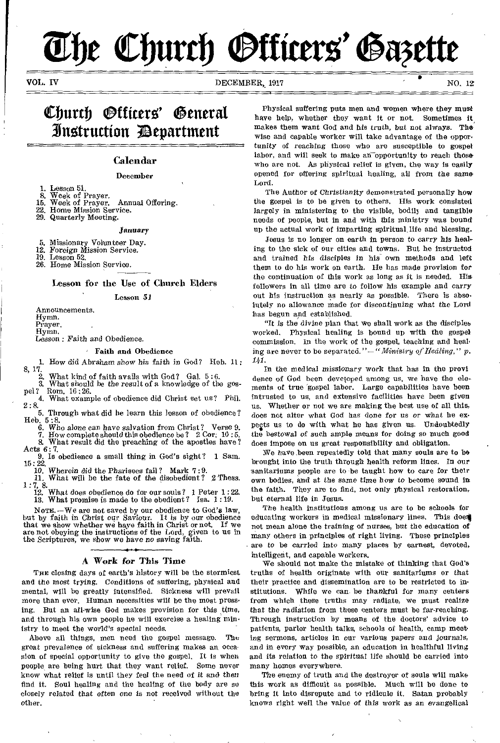Church *Otticers' Gazette*  $\frac{1}{\cdot}$ 

VOL. IV DECEMBER, 1917

NO. 12

# Church *Otticers'* General Instruction ;Department

# Calendar

### December

1. Lesson 51.<br>8. Week of 1

- 8. Week of Prayer. 15. Week of Prayer. Annual Offering.
- 15. Week of Prayer. Annual Offering<br>22. Home Mission Service.<br>29. Quarterly Meeting.
- Quarterly Meeting.

*January* 

- 5. Missionary Volunteer Day.
- 12. *Foreign Mission* Service.

Lesson 52.

26. Home Mission Service.

### Lesson for the Use of Church Elders

Lesson 51

Announcements. Hymn.

Prayer.

Hymn.

Lesson : Faith and Obedience.

### *Faith* and Obedience

1. How did Abraham show his faith in God? Heb. 11 : 8,  $\frac{17}{2}$ 

2. What kind of faith avails with  $God?$  Gal.  $5:6$ .<br>3. What should be the result of a knowledge of the

3. What should be the result of a knowledge of the gos-Rom. 16:26.

4. What example of obedience did Christ set us? Phil. 2: 8.

5. Through what did he learn this lesson of obedience?

Heb. 5:8.<br>
6. Who alone can have salvation from Christ? Verse 9.<br>
7. How complete should this obedience be? 2 Cor; 10:5.<br>
8. What result did the preaching of the apostles have?<br>
Acts 6:7.

9. Is obedience a small thing in God's sight? 1 Sam.<br>15:22.

*10. Wherein* did the Pharisees fail? Mark 7 :9.

What will be the fate of the disobedient? 2 Thess.

1 :7, 8. *12. What* does obedience do for our souls? 1 Peter 1 : 22. 13. What promise is made to the obedient? Isa. 1:19.

NOTE. -We are not saved by our obedience to God's law, but by faith in Christ our Saviour. It is by our obedience that we show whether we have faith in Christ or not. If we that we show whether we have faith in Christ or not. are not obeying the instructions of the Lord, given to us in the Scriptures, we show we have no saving faith.

### A Work for This Time

THE closing days of earth's history will be the stormiest and the most trying. Conditions of suffering, physical and mental, will be greatly intensified. Sickness will prevail more than ever. Human necessities will be the most press. ing. But an all-wise God makes provision for this time, and through his own people he will exercise a healing min. istry to meet the world's special needs.

Above all things, men need the gospel message. The, great prevalence of sickness and suffering makes an occa sion of special opportunity to give the gospel. It is when people are being hurt that they want relief. Some never know what relief is until they feel the need of it and then find it. Soul healing and the healing of the body are so closely related that *often one* is not received without the other.

Physical suffering puts men and women where they must have help, whether they want it or not. Sometimes it makes them want God and his truth, but not always. The wise and capable worker will take advantage of the oppor• tunity of reaching those who are susceptible to gospet labor, and will seek to make an opportunity to reach those who are not. As physical relief is given, the way is easily opened for offering spiritual healing, all from the same Lord.

The Author of Christianity demonstrated personally hew the gospel is to be given to others. His work consisted largely in ministering to the visible, bodily and tangible needs of people, but in and with this ministry was bound up the actual work of imparting spiritual, life and blessing.

Jesus is no longer on earth in person to carry his healing to the sick of our cities and towns. But he instructed and trained his disciples in his own methods and left them to do his work on earth. He has made provision for the continuation of this work as long as it is needed. His followers in all time are to follow his example and carry out his instruction as nearly as possible. There is abso• lately no allowance made for discontinuing what the Lord has begun and established.

"It *is* the divine plan that we shall work as the disciples worked. Physical healing is bound up with the gospel commission. In the work of the gospel, teaching and heal, ing are never to be separated." $-$ " Ministry of Healing," p. 141.

In the medical *missionary* work that has in the provi dence of God been developed among us, we have the elements of true gospel labor. Large capabilities have been intrusted to us, and extensive facilities have been given us. Whether or not we are making the best use of all this, does not alter what God has done *for us* or what he expects us to do with what he has given us. Undoubtedly the bestowal *of* such ample means for doing so much good does impose on us great responsibility and obligation.

We have been repeatedly told that many souls are to be brought into the truth through health reform lines. In our sanitariums people are to be taught how to care for their own bodies, and at the same *time how* to become sound in the faith. They are to find, not only physical restoration, but eternal life in Jesus.

The health institutions among us are to be schools for educating workers in medical missionary lines. This does not mean alone the training of nurses, but *the* education of many others in principles of right living. These principles . are to be carried into many places by earnest, devoted, intelligent, and capable workers.

We should not make the mistake of thinking that God's truths of health originate with our sanitariums or that their practice and dissemination are to be restricted to institutions. While we can be thankful for many centers from which these truths may radiate, we must realize that the radiation from these centers must be far-reaching. Through instruction by means of the doctors' advice to, patients, parlor health talks, schools of health, camp meeting sermons, articles in our various papers and *journals,*  and in every way possible, an education in healthful living and its relation to the spiritual life should be carried into many homes everywhere.

The enemy of truth and the destroyer of souls will make this work as difficult as possible. Much will be done to bring it into disrepute and to ridicule it. Satan probably knows right well the value of this work as an evangelical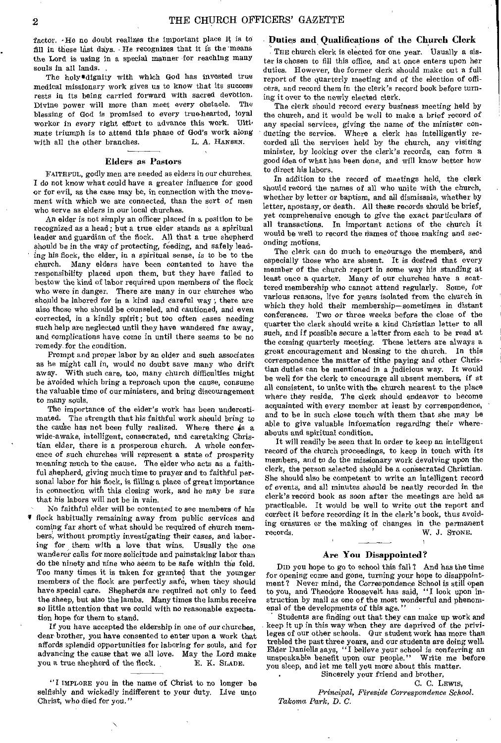factor. -He no doubt realizes the important place it is to fill in these last days. He recognizes that it is the means the Lord is using in a special manner for reaching many souls in all lands.

The holy \*dignity with which God has invested true medical missionary work gives us to know that its success rests in its being carried forward with sacred devotion. Divine power will more than meet every obstacle. blessing of God is promised to every true-hearted, loyal worker in every right effort to advance this work. Ulti• mate triumph is to attend this phase of God's work along with all the other branches. L. A. HANSEN.

# Elders as Pastors

FAITHFUL, godly men are needed as elders in our churches. I do not know what could have a greater influence for good or for evil, as the case may be, in connection with the movement with which we are connected, than the sort of men who serve as elders in our local churches.

An elder is not simply an officer placed in a position to be recognized as a head ; but a true elder stands as a spiritual leader and guardian of the flock. All that a true shepherd should be in the way of protecting, feeding, and safely leading his flock, the elder, in a spiritual sense, is to be to the church. Many elders have been contented to have the responsibility placed upon them, but they have failed to bestow the kind of labor required upon members of the flock who were in danger. There are many in our churches who should be labored for in a kind and careful way; there are also those who should be counseled, and cautioned, and even corrected, in a kindly spirit; but too often cases needing such help are neglected until they have wandered far away, and complications have come in until there seems to be no remedy for the condition.

Prompt and proper labor by an elder and such associates as he might call in, would no doubt save many who drift away. With such care, too, many church difficulties might be avoided which bring a reproach upon the cause, consume the valuable time of our ministers, and bring discouragement to many souls.

The importance of the elder's work has been underestimated. The strength that his faithful work should bring to the cause has not been fully realized. Where there is a wide-awake, intelligent, consecrated, and caretaking Christian elder, there is a prosperous church. A whole conference of such churches will represent a state of prosperity meaning much to the cause. The elder who acts as a faithful shepherd, giving much time to prayer and to faithful personal labor for his flock, is filling a place of great importance in connection with this closing work, and he may be sure that his labors will not be in vain.

No faithful elder will be contented to see members of his *<sup>V</sup>*flock habitually remaining away from public services and coming far short of what should be required of church members, without promptly investigating their eases, and laboring for them with a love that wins. Usually the one wanderer calls for more solicitude and painstaking labor than do the ninety and nine who seem to be safe within the fold. Too many times it is taken for granted that the younger members of the flock are perfectly safe, when they should have special care. Shepherds are required not only to feed the sheep, but also the lambs. Many times the lambs receive so little attention that we could with no reasonable expectation hope for them to stand.

If you have accepted the eldership in one of our churches, dear brother, you have consented to enter upon a work that affords splendid opportunities for laboring for souls, and for advancing the cause that we all love. May the Lord make<br>you a true shepherd of the flock. E. K. SLADE. you a true shepherd of the flock.

"I IMPLORE you in the name of Christ to no longer be selfishly and wickedly indifferent to your duty. Live unto Christ, who died for you."

## Duties and Qualifications of the Church Clerk

THE church clerk is elected for one year. Usually a sister is chosen to fill this office, and at once enters upon her duties. However, the former clerk should make out a full report of the quarterly meeting and of the election of officers, and record them in the clerk's record book before turning it over to the newly elected clerk.

The clerk should record every business meeting held by the church, and it would be well to make a brief record of any special services, giving the name of the minister conducting the service. Where a clerk has intelligently recorded all the services held by the church, any visiting minister, by looking over the clerk's records, can form a good idea of what has been done, and will know better how to direct his labors.

In addition to the record of meetings held, the clerk should record the names of all who unite with the church, whether by letter or baptism, and all dismissals, whether by letter, apostasy, or death. All these records should be brief, yet comprehensive enough to give the exact particulars of all transactions. In important actions of the church it would be well to record the names of those making and seconding motions.

The clerk can do much to encourage the members, and especially those who are absent. It is desired that every member of the church report in some way his standing at least once a quarter. Many of our churches have a scattered membership who cannot attend regularly. Some, for various reasons, live for years isolated from the church in which they hold their membership—sometimes in distant conferences. Two or three weeks before the close of the quarter the clerk should write a kind Christian letter to all such, and if possible secure a letter from each to be read at the coming quarterly meeting. These letters are always a great encouragement and blessing to the church. In this correspondence the matter of tithe paying and other Christian duties can be mentioned in a judicious way. It would be well for the clerk to encourage all absent members, if at all consistent, to unite with the church nearest to the place where they reside. The clerk should endeavor to become acquainted with every member at least by correspondence, and to be in such close touch with them that she may be able to give valuable information regarding their whereabouts and spiritual condition.

It will readily be seen that in order to keep an intelligent record of the church proceedings, to keep in touch with its members, and to do the missionary work devolving upon the clerk, the person selected should be a consecrated Christian. She should also be competent to write an intelligent record of events, and all minutes should be neatly recorded in the clerk's record book as soon after the meetings are held as practicable. It would be well to write out the report and corfect it before recording it in the clerk's book, thus avoiding erasures or the making of changes in the permanent records.  $\sqrt{W}$ , J. STONE.

### Are You Disappointed?

Din you hope to go to school this fall ? And has the time for opening come and gone, turning your hope to disappointment? Never mind, the Correspondence School is still open to you, and Theodore Roosevelt has said, "I look upon instruction by mail as one of the most wonderful and phenomenal of the developments of this age."

Students are finding out that they can make up work and keep it up in this way when they are deprived of the privileges of our other schools. Our student work has more than trebled the past three years, and our students are doing well. Elder Daniells says, "I believe your school is conferring an unspeakable benefit upon our people." Write me before you sleep, and let me tell you more about this matter.

Sincerely your friend and brother,

C. C. LEWIS,

*Principal, Fireside Correspondence School. Takoma Park, D. C.*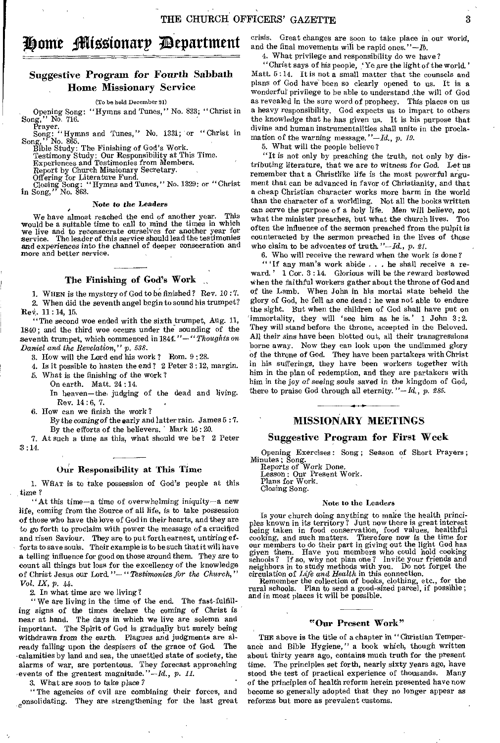# Home Missionary Department

# Suggestive Program for Fourth Sabbath Home Missionary Service

(To be held December 21)

Opening Song: "Hymns and Tunes," No. 838; "Christ in

Song," No. 716. Prayer. Song: "Hymns and Tunes," No. 1331; or " Christ in Song," No. 865. Bible Study: The Finishing of God's Work. Testimony Study: Our Responsibility at This Time.

Experiences and Testimonies from Members. Report by Church Missionary Secretary. Offering for Literature Fund.

Closing Song: "Hymns and Tunes," No. 1329: or "Christ in Song," No. 863.

### Note to the Leaders

We have almost reached the end of another year. This would be a suitable time to call to mind the times in which we live and to reconsecrate ourselves for another year for service. The leader of this service should lead the testimonies and experiences into the channel of deeper consecration and more and better service.

### The Finishing of God's Work

1. WHEN is the mystery of God to be finished ? Rev. 10 : 7. 2. When did the seventh angel begin to sound his trumpet?  $Rev. 11 : 14, 15.$ 

"The second woe ended with the sixth trumpet, Aug. 11, 1840; and the third woe occurs under the sounding of the seventh trumpet, which commenced in 1844."-"Thoughts on *Daniel and the Revelation," p. 538.* 

3. How will the Lord end his work ? Rom. 9 :28.

4. Is it possible to hasten the end? 2 Peter 3 : 12, margin.

5. What is the finishing of the work?

On earth. Matt. 24 :14.

In heaven-the. judging of the dead and living. Rev. 14 : 6, 7.

6. How can we finish the work?

By the *comingof* the early and latter rain. James 5 :7. By the efforts of the believers. Mark 16:20.

7. At such a time as this, what should we be? 2 Peter 3:14.

### Ou'r Responsibility at This Time

1. WHAT is to take possession of God's people at this time ?

"At this time-a time of overwhelming iniquity-a new life, coming from the Source of all life, is to take possession of those who have the love of God in their hearts, and they are to go forth to proclaim with power the message of a crucified and risen Saviour. They are to put forth earnest, untiring efforts to save souls. Their example is to be such that it will have a telling influence for good on those around them. They are to count all things but loss for the excellency of the knowledge of Christ Jesus our Lord."-"Testimonies for the Church," *Vol. IX, p. U.* 

2. In what time are we living?

" We are living in the time of the end. The fast-fulfilling signs of the times declare the coming of Christ is near at hand. The days in which we live are solemn and important. The Spirit of God is gradually but surely being withdrawn *from* the earth. Plagues and judgments are already falling upon the despisers of the grace of God. The •calamities by land and sea, the unsettled state of society, the alarms of war, are portentous. They forecast approaching events of the greatest magnitude."-Id., p. 11.

3. What are soon to take place ?

"The agencies of evil are combining their forces, and c onsolidating. They are strengthening for the last great crisis. Great changes are soon to take place in our world, and the final movements will be rapid ones."-*Ib*.

4. What privilege and responsibility do we have?

"Christ says of his people, Ye are the light of the world.' Matt. 5 : 14. It is not a small matter that the counsels and plans of God have' been so clearly opened to us. It is a wonderful privilege to be able to understand .the will of God as revealed in the sure word of prophecy. This places on us a heavy responsibility. God expects us to impart to others the knowledge that he has given us. It is his purpose that divine and human instrumentalities shall unite in the proclamation of the warning message."-Id., p. 19.

5. What will the people believe?

"It is not only by preaching the truth, not only by distributing literature, that we are *to witness for* God. Let us remember that a Christlike life is the most powerful argument that can be advanced in favor of Christianity, and that a cheap Christian character works more harm in the world than the character of a worldling. Not all the books written can serve the purpose of a holy life. Men will believe, not what the minister preaches, but what the church lives. Too often the influence of the sermon preached from the pulpit is counteracted by the sermon preached in the lives of those who claim to be advocates of truth. *"-Id., p. 21.* 

6. Who will receive the reward when the work is done?

" 'If any man's work abide . . . he shall receive a reward. ' 1 Cor. 3 : 14. Glorious will be the reward bestowed when the faithful workers gather about the throne of God and of the Lamb. When John in his mortal state beheld the glory of God, he fell as one dead : he was not able to endure the sight. But when the children of God shall have put on immortality, they will 'see him as he is.' 1 John 3:2. They will stand before the throne, accepted in the Beloved. All their sins have been blotted out, all their transgressions borne away. Now they can look upon the undimmed glory of the throne of God. They have been partakers with Christ in his sufferings, they have been workers together with him in the plan of redemption, and they are partakers with him in the *joy* of seeing *souls* saved in the kingdom of God, there to praise God through all eternity. *"-Id., p. 285.* 

# MISSIONARY MEETINGS

### Suggestive Program for First Week

Opening Exercises: Song; Season of Short Prayers;<br>
Minutes; Song.<br>
Reports of Work Done.<br>
Lesson : Our Present Work.<br>
Plans for Work.

Closing Song.

### Note to the Leaders

Is your church doing anything to make the health principles known in its territory? Just now there is great interest being taken in food conservation, food values, healthful cooking, and such matters. Therefore now is the time for our members to do their part in giving out the light God has given them. Have you members who could hold cooking schools? If so, why not plan one? Invite your friends and neighbors in to study methods with you. Do not forget the circulation of *Dife and Health* in this connection.

Remember the collection of books, clothing, etc., for the rural schools. Plan to send a good-sized parcel, if possible ; and in most places it will be possible.

# "Our Present Work"

THE above is the title of a chapter in "Christian Temperance and Bible Hygiene," a book which, though written about thirty years ago, contains much truth for the present time. The principles set forth, nearly sixty years ago, have stood the test of practical experience of thousands. Many of the principles of health reform herein presented have now become so generally adopted that they no longer appear as reforms but more as prevalent customs.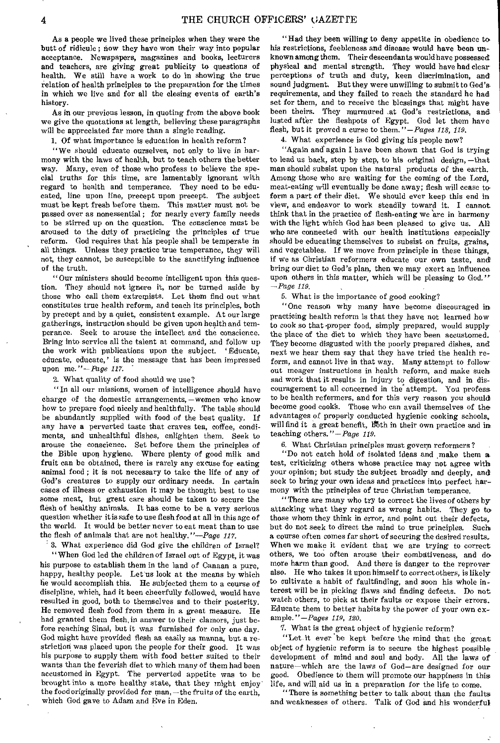As a people we lived these principles when they were the butt of ridicule ; now they have won their way into popular acceptance. Newspapers, magazines and books, lecturers and teachers, are *giving* great publicity to questions of health, We still have a work to do in showing the true relation of health principles to the preparation for the times in which we live and for all the closing events of earth's history.

As in our previous lesson, in quoting from the above book we give the quotations at length, believing these paragraphs will be appreciated far more than a single reading.

1. Of what importance is education in health reform?

"We should educate ourselves, not only to live in harmony with the laws of health, but to teach others the better way. Many, even of those who profess to believe the special truths for this time, are lamentably ignorant with regard to health and temperance. They need to be educated, line upon line, precept upon precept. The subject must be kept fresh before them. This matter must not be passed over as nonessential ; for nearly every family needs to be stirred up on the question. The conscience must be aroused to the duty of practicing the principles of true reform. God requires that his people shall be temperate in all things. Unless they practice true temperance, they will not, they cannot, be susceptible to the sanctifying influence of the truth.

"Our ministers should become intelligent upon this question. They should not ignore it, nor be turned aside by those who call them extremists. Let them find out what constitutes true health reform, and teach its principles, both by precept and by a quiet, consistent example. At our large gatherings, instruction should be given upon health and temperance. Seek to arouse the intellect and the conscience. Bring into service all the talent at command, and follow up the work with publications upon the subject. 'Educate, educate, educate,' is the message that has been impressed upon *me."—Page 117.* 

2. What quality of food should we use?

"In all our missions, women of intelligence should have charge of the domestic arrangements, —women who know how to prepare food nicely and healthfully. The table should be abundantly supplied with food of the best quality. If any have a perverted taste that craves tea, coffee, condiments, and unhealthful dishes, enlighten them. Seek to arouse the conscience. Set before them the principles of the Bible upon hygiene. Where plenty of good milk and fruit can be obtained, there is rarely any excuse for eating animal food ; it is not necessary to take the life of any of God's creatures to supply our ordinary needs. In certain cases of illness or exhaustion it may be thought best to use some meat, but great care should be taken to secure the flesh of healthy animals. It has come to be a very serious question whether it is safe to use flesh food at all in this age of the world. It would be better never to eat meat than to use the flesh of animals that are not healthy."—Page *117.* 

3. What experience did God give the children of Israel?

"When God led the children of Israel out of Egypt, it was his purpose to establish them in the land of Canaan a pure, happy, healthy people. Let us look at the means by which he would accomplish this. He subjected them to a course of discipline, which, had it been cheerfully followed, would have resulted in good, both to themselves and to their posterity. He removed flesh food from them in a great measure. He had granted them flesh, in answer to their clamors, just before reaching Sinai, but it *was* furnished for only one day. God might have provided flesh as easily as manna, but a restriction was placed upon the people for their good. It was his purpose to supply them with food better suited to their wants than the feverish diet to which many of them had been accustomed in Egypt. The perverted appetite was to be brought into a more healthy state, that they 'night enjoy the food originally provided for man, —the fruits of the earth, which God gave to Adam and Eve in Eden,

"Had they been willing to deny appetite in obedience to his restrictions, feebleness and disease would have been unknown among them. Their descendants would have possessed physical and mental strength. They would have had clear perceptions of truth and duty, keen discrimination, and sound judgment. But they were unwilling to submit to God's. requirements, and they failed to reach the standard he had set for them, and to receive the blessings that might have been theirs. They murmured ,at God's restrictions, and lusted after the fleshpots of Egypt. God let them have flesh, but it proved a curse to them."—Pages *118, 119.* 

4. What experience is God giving his people now?

"Again and again I have been shown that God is trying to lead us back, step by step, to his original design, —that man should subsist upon the natural products of the earth. Among those who are waiting for the coming of the Lord, meat-eating will eventually be done away; flesh will cease toform a part of their diet. We should ever keep this end in view, and endeavor to work steadily toward it. I cannot think that in the practice of flesh-eating we are in harmony with the light which God has been pleased to give us. All who are connected with our health institutions especially should be educating themselves to subsist on fruits, grains, and vegetables. If we move from principle in these things, if we as Christian reformers educate our own taste, and bring our diet to God's plan, then we may exert an influence upon others in this matter, which will be pleasing to God." *—Page 119.* 

5. What is the importance of good cooking?

"One reason why many have become discouraged practicing health reform is that they have not learned how to cook so that -proper food, simply prepared, would supply the place of the diet to which they have been accustomed. They become disgusted with the poorly prepared dishes, and next we hear them say that they have tried the health reform, and cannot live in that way. Many attempt to follow out meager instructions in health reform, and make such sad work that it results in injury to digestion, and in discouragement to all concerned in the attempt. You profess to be health reformers, and for this very reason you should become good cook's. Those who can avail themselves of the advantages of properly conducted hygienic cooking schools, will find it a great benefit, both in their own practice and in teaching others."—Page *119.* 

6. What Christian principles must govern reformers?

"Do not catch hold of isolated ideas and make them a test, criticizing others whose practice may not agree with your opinion; but study the subject broadly and deeply, and seek to bring your own ideas and practices into perfect harmony with the principles of true Christian temperance.

"There are many who try to correct the lives of others by attacking what they regard as wrong habits. They go to those whom they think in error, and point out their defects, but do not seek to direct the mind to true principles. Such a course often comes far short of securing the desired results. When we make it evident that we are trying to correct others, we too often arouse their combativeness, and do more harm than good. And there is danger to the reprover also. He who takes it upon himself to correct others, is likely to cultivate a habit of faultfinding, and soon his whole interest will be in picking flaws and finding defects. Do not watch others, to pick at their faults or expose their errors. Educate them to better habits by the power of your own example."—Pages *119, 120.* 

7. What is the great object of hygienic reform?

"Let it ever be kept before the mind that the great object of hygienic reform is to secure the highest possible development of mind and soul and body. All the laws of nature—which are the laws of God—are designed for our good. Obedience to them will promote our happiness in this life, and will aid us in a preparation for the life to come.

"There is something better to talk about than the faults and weaknesses of others. Talk of God and his wonderful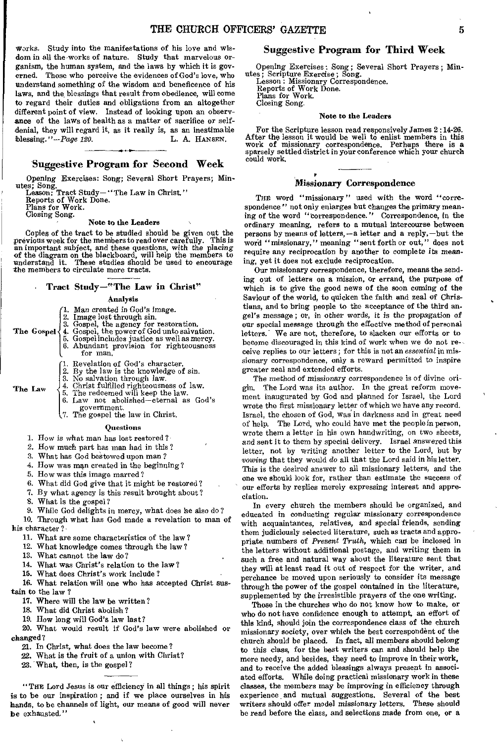*works.* Study into the manifestations of his love and wisdom in all the works of nature. Study that marvelous organism, the human system, and the laws by which it is governed. Those who perceive the evidences of God's love, who understand something of the wisdom and beneficence of his laws, and the blessings that result from obedience, will come to regard their duties and obligations from an altogether different point of view. Instead of looking upon an observance of the laws of health as a matter of sacrifice or selfdenial, they will regard it, as it really is, as an inestimable<br>blessing."--Page 120.<br>L. A. HANSEN. blessing. "-Page 120.

# Suggestive Program for Second Week

Opening Exercises: Song; Several Short Prayers; Min. utes; Song. Lesson: Tract Study- " The Law in Christ"

Reports of Work Done. Plans for Work. Closing Song.

### Note to the Leaders

Copies of the tract to be studied should be given out the previous week for the members to read over carefully. This is an important subject, and these questions, with the *placing*  of the diagram on the blackboard, will help the members to understand it. These studies Should be used to encourage the members to circulate more tracts.

# • Tract Study-"The Law in Christ"

### Analysis

|                   | 1. Man created in God's image.<br>2. Image lost through sin.<br>3. Gospel, the agency for restoration.<br>4. Gospel, the power of God unto salvation.<br>5. Gospel includes justice as well as mercy.<br>The Gospel $\langle$<br>6. Abundant provision for righteousness<br>for man.    |  |  |  |  |  |
|-------------------|-----------------------------------------------------------------------------------------------------------------------------------------------------------------------------------------------------------------------------------------------------------------------------------------|--|--|--|--|--|
| The Law           | 1. Revelation of God's character.<br>2. By the law is the knowledge of sin.<br>3. No salvation through law.<br>4. Christ fulfilled righteousness of law.<br>5. The redeemed will keep the law.<br>6. Law not abolished—eternal as God's<br>government.<br>The gospel the law in Christ. |  |  |  |  |  |
| <b>Questions</b>  |                                                                                                                                                                                                                                                                                         |  |  |  |  |  |
|                   | 1. How is what man has lost restored ?                                                                                                                                                                                                                                                  |  |  |  |  |  |
|                   | 2. How much part has man had in this?                                                                                                                                                                                                                                                   |  |  |  |  |  |
|                   | 3. What has God bestowed upon man?                                                                                                                                                                                                                                                      |  |  |  |  |  |
|                   | 4. How was man created in the beginning?                                                                                                                                                                                                                                                |  |  |  |  |  |
|                   | 5. How was this image marred?                                                                                                                                                                                                                                                           |  |  |  |  |  |
|                   | 6. What did God give that it might be restored?                                                                                                                                                                                                                                         |  |  |  |  |  |
|                   | 7. By what agency is this result brought about?                                                                                                                                                                                                                                         |  |  |  |  |  |
|                   | 8. What is the gospel?                                                                                                                                                                                                                                                                  |  |  |  |  |  |
|                   | 9. While God delights in mercy, what does he also do?                                                                                                                                                                                                                                   |  |  |  |  |  |
|                   | 10. Through what has God made a revelation to man of                                                                                                                                                                                                                                    |  |  |  |  |  |
| his character ? . |                                                                                                                                                                                                                                                                                         |  |  |  |  |  |
|                   | 11. What are some characteristics of the law?                                                                                                                                                                                                                                           |  |  |  |  |  |
|                   | 12. What knowledge comes through the law?                                                                                                                                                                                                                                               |  |  |  |  |  |
|                   | 13. What cannot the law do?                                                                                                                                                                                                                                                             |  |  |  |  |  |
|                   | 14. What was Christ's relation to the law?                                                                                                                                                                                                                                              |  |  |  |  |  |
|                   | 15. What does Christ's work include?                                                                                                                                                                                                                                                    |  |  |  |  |  |
|                   | 16. What relation will one who has accepted Christ sus-                                                                                                                                                                                                                                 |  |  |  |  |  |
|                   | tain to the law ?                                                                                                                                                                                                                                                                       |  |  |  |  |  |
|                   | 17. Where will the law be written?                                                                                                                                                                                                                                                      |  |  |  |  |  |
|                   | 18. What did Christ abolish?                                                                                                                                                                                                                                                            |  |  |  |  |  |
|                   | 19. How long will God's law last?                                                                                                                                                                                                                                                       |  |  |  |  |  |
|                   | 20. What would result if God's law were abolished or                                                                                                                                                                                                                                    |  |  |  |  |  |

# changed?

his cha<br>11.

tain to  $\frac{17}{17}$ 

21. In Christ, what does the law become?

22. What is the fruit of a union with Christ?

23. What, then, is the gospel?

"THE Lord Jesus is our efficiency in all things ; his spirit is to be our inspiration ; and if we place ourselves in his hands, to be channels of light, our means of good will never be exhausted."

# Suggestive Program for Third Week

Opening Exercises : Song ; Several Short Prayers ; Min-utes ; Scripture Exercise ; Song.

Lesson: Missionary Correspondence. Reports of Work Done. Plans for Work. Closing Song.

### Note to the Leaders

For the Scripture lesson read responsively James 2 :14-26. After the lesson it would be well to enlist members in this work of missionary correspondence. Perhaps there is a sparsely settled district in your conference which your church could work.

### Missionary Correspondence

THE word "missionary" used with the word "correspondence" not only enlarges but changes the primary meaning of the word "'correspondence." Correspondence, in the ordinary meaning, refers to a mutual intercourse between persons by means of letters, -- a letter and a reply, -- but the word "missionary," meaning "sent forth or out," does not require any reciprocation by another to complete *its* meaning, yet it does not exclude reciprocation.

Our missionary correspondence, therefore, means the sending out of letters on a mission, or errand, the purpose of which is to give the good news of the soon coming of the Saviour of the world, to quicken the faith and zeal of Christians, and to bring people to the acceptance of the third angel's message; or, in other words, it is the propagation of our special message through the effective method of personal letters. We are not, therefore, to slacken our efforts or to become discouraged in this kind of work when we do not receive replies to our letters ; for this is not an *essential* in missionary correspondence, only a reward permitted to inspire greater zeal and extended efforts.

The method of *missionary* correspondence is of divine origin. The Lord was its author. In the great reform movement inaugurated by God and planned for Israel, the Lord wrote the first missionary letter of which we have any record. Israel, the chosen of God, was in darkness and in great need of help. The Lord, who could have met the people in person, wrote them a letter in his own handwriting, on two sheets, and sent it to them by special delivery. Israel answered this letter, not by writing another letter to the Lord, but by *vowing* that they would *do* all that the Lord said in his letter. This is the desired answer to all missionary letters, and the one we should look for, rather than estimate the success of our efforts by replies merely expressing interest and appreciation.

In every church the members should be organized, and educated in conducting regular missionary correspondence with acquaintances, relatives, and special friends, sending them judiciously selected literature, such as tracts and appropriate numbers of *Present Truth,* which can be inclosed in the letters without additional postage, and writing them in such a free and natural way about the literature sent that they will at least read it out of respect for the writer, and perchance be moved upon seriously to consider its message through the power of the gospel contained in the literature, supplemented by the irresistible prayers of the one writing.

Those in the churches who do not know how to make, or who do not have confidence enough to attempt, an effort of this kind, should join the correspondence class of the church missionary society, over which the best correspondent of the church should be placed. In fact, all members should belong to this class, for the best writers can and should help the more needy, and besides, they need to improve in their work, and to receive the added blessings always present in associated efforts. While doing practical missionary work in these classes, the members may be improving in efficiency through experience and mutual suggestions. Several of the best writers should offer model *missionary* letters. These should be read before the class, and selections made from one, or a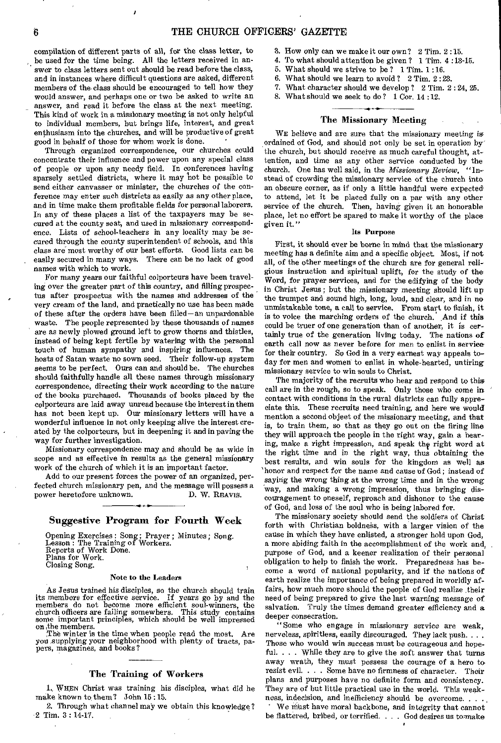compilation of different parts of all, for the class letter, to be used for the time being. All the letters received in answer to class letters sent out should be read before the class, and in instances where difficult questions are asked, different members of the, class should be encouraged to tell how they would answer, and perhaps one or two be asked to write an answer, and read it before the class at the next meeting. This kind of work in a missionary meeting is not only helpful to individual members, but brings life, interest, and great enthusiasm into the churches, and will be productive of great good in behalf of those for whom work is done.

Through organized correspondence, our churches could concentrate their influence and power upon any special class of people or upon any needy field. In conferences having sparsely settled districts, where it may not be possible to send either canvasser or minister, the churches of the conference may enter such districts as easily as any other place, and in time make them profitable fields for personal laborers. In any of these places a list of the taxpayers may be secured at the county seat, and used in missionary correspondence. Lists of school-teachers in any locality may be secured through the county superintendent of schools, and this class are' most worthy of our best efforts. Good lists can be easily secured in many ways. There can be no lack of good names with which to work.

For many years our faithful colporteurs have been traveling over the greater part of this country, and filling prospectus after prospectus with the names and addresses of the very cream of the land, and practically no use has been made of these after the orders have been filled—an unpardonable waste. The people represented by these thousands of names are as newly plowed ground left to grow thorns and thistles, instead of being kept fertile by watering with the personal touch of human sympathy and inspiring influences. The hosts of Satan waste no sown seed. Their follow-up system seems to be perfect. Ours can and should be. The churches should faithfully handle all these names through missionary correspondence, directing their work according to the nature of the books purchased. Thousands of books placed by the colporteurs are laid away unread because the interest in them has not been kept up. Our missionary letters will have a wonderful influence in not only keeping alive the interest created by the colporteurs, but in deepening it and in paving the way for further investigation.

Missionary correspondence may and should be as wide in scope and as effective in results as the general missionary work of the church of which it is an important factor.

Add to our present forces the power of an organized, perfected church missionary pen, and the message will possess a power heretofore unknown. D. W. REAVIS.

# Suggestive Program for Fourth Week

Opening Exercises: Song; Prayer; Minutes; Song. Lesson : The Training of Workers. Reports of Work Done. Plans for Work. Closing Song.

### Note to the Leaders

As Jesus trained his disciples, so the church should train<br>its members for effective service. If years go by and the<br>members do not become more efficient soul-winners, the<br>church officers are failing somewhers. This study some important principles, which should be well impressed on the members.

The winter is the time when people read the most. Are you supplying your neighborhood with plenty of tracts, papers, magazines, and books?

### The Training of Workers

1., WHEN Christ was training his disciples, what did he make known to them? John 15:15.

2. Through what channel may we obtain this knowledge ? 2 Tim. 3: 14-17.

- 3. How only can we make it our own? 2 Tim. 2 :15.
- 4. To what should attention be given ? 1 Tim.  $4:18-15$ .<br>5. What should we strive to be ? 1 Tim.  $1:16$ .
- 5. What should we strive to be ? 1 Tim. 1 :16.
- 6. What should we learn to avoid ? 2 Tim. 2 :23.
- 7. What character should we develop ? 2 Tim. 2:24, 25.
- 8. What should we seek to do? 1 Cor. 14 : 12.

# The Missionary Meeting

WE believe and are sure that the missionary meeting is ordained of God, and should not only be set in operation by' the church, but should receive as much careful thought, attention, and time as any other service conducted by the church. One has well said, in the *Missionary Review, "Instead* of crowding the missionary service of the church into an obscure corner, as if only a little handful were expected' to attend, let it be placed fully on a par with any other service of the church. Then, having given it an honorable place, let no effort be spared to make it worthy of the place given it."

### Its Purpose

First, it should ever be borne in mind that the missionary meeting has a definite aim and a specific object. Most, if not all, of the other meetings of the church are for general religious instruction and spiritual uplift, for the study of the Word, for prayer services, and for the edifying of the body in Christ Jesus ; but the missionary meeting should lift up the trumpet and sound high, long, loud, and clear, and in no unmistakable tone, a call to service. From start to finish, it is to voice the marching orders of the church. And if this could be truer of one generation than of another, it is certainly true of the generation living today. The nations of earth call now as never before for men to enlist in service for their country. So God in a very earnest way appeals today for men and women to enlist in whole-hearted, untiring missionary service to win souls to Christ.

The majority of the recruits who hear and respond to this call are in the rough, so to speak. Only those who come in ' contact with conditions in the rural districts can fully appreciate this. These recruits need training, and here we would mention a second object of the missionary meeting, and that is, to train them, so that as they go out on the firing line they will approach the people in the right way, gain a hearing, make a right impression, and speak the right word at the right time and in the right way, thus obtaining the best results, and win souls for the kingdom as well as honor and respect for the name and cause of God ; instead of saying the wrong thing at the wrong time and in the wrong way, and making a wrong impression, thus bringing discouragement to oneself, reproach and dishonor to the cause of God, and loss of the soul who is being labored for.

The missionary society should send the soldiers of Christ forth with Christian boldness, with a larger vision of the cause in which they have enlisted, a stronger hold upon God, a more abiding faith in the accomplishment of the work and, purpose of God, and a keener realization of their personal obligation to help to finish the work. Preparedness has become a word of national popularity, and if the nations of earth realize the importance of being prepared in worldly affairs, how much more should the people of God realize their need of being prepared to give the last warning message of salvation. Truly the times demand greater efficiency and a deeper consecration.

"Some who engage in missionary service are weak, nerveless, spiritless, easily discouraged. They lack push. . . . Those who would win success must be courageous and hopeful. . . . While they are to give the soft answer that turns away wrath, they must possess the courage of a hero to resist evil. . . . Some have no firmness of character. Their plans and purposes have no definite form and consistency. They are of but little practical use in the world. This weakness, indecision, and inefficiency should be overcome..

We must have moral backbone, and integrity that cannot be flattered, bribed, or terrified. . . . God desires us to make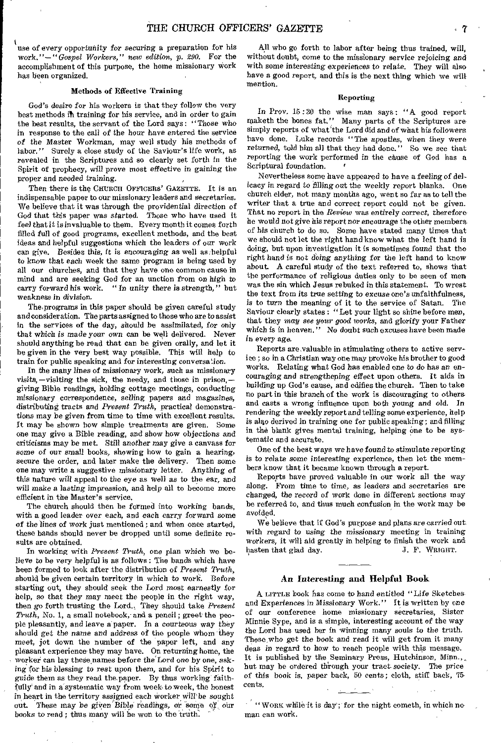use of every opportunity for securing a preparation for his *work."—"Gospel Workers," new edition, p.* 290. For the accomplishment of this purpose, the home missionary work has been organized.

### Methods of Effective Training

God's desire for his workers is that they follow the very best methods in training for his service, and in order to gain the best results, the servant of the Lord says : "Those who in response to the call of the hour have entered the service of the Master Workman, may well study his methods of labor." Surely a close study of the Saviour's life work, as revealed in the Scriptures and so clearly set forth in the Spirit of prophecy, will prove most effective in gaining the proper and needed training.

Then there is the CHURCH OFFICERS' GAZETTE. It is an indispensable paper to our missionary leaders and secretaries. We believe that it was through the providential *direction of*  God that this paper *was* started. Those who have used it feel that it is invaluable to them. Every month it comes forth filled full of good programs, excellent methods, and the best ideas and helpful suggestions which the leaders of our work can give. Besides this, it is encouraging as well as helpful to know that each week the same program is being used by all our churches, and that they have one common cause in mind and are seeking God for an unction from on high to carry forward his work. "In unity there is strength," but weakness in division.

The,programs in this paper should be given careful study and consideration. The parts assigned to those who are to assist in the services of the day, should be assimilated, *for* only that *which is made your* own can be well delivered. Never should anything be read that can be given orally, and let it be given in the very best way possible. This will help to train for public speaking and for interesting *conversation.* 

In the many *lines of* missionary work, such as missionary *visits,* —visiting the sick, the needy, and those in prison, giving Bible readings, holding cottage meetings, conducting missionary correspondence, selling papers and *magazines,*  distributing tracts *and Present Truth,* practical demonstrations *may* be given from time to time with excellent results. It may be shown how simple treatments are given. Some one may give a Bible reading, and show how objections and criticisms may be met. Still another may give a canvass for some *of* our small books, showing how to gain a hearing, secure the order, and later make the delivery. Then some one may write a suggestive missionary letter. Anything of this nature will appeal to the eye *as* well as to the ear, and will make a lasting impression, and help all to become more efficient in the Master's service.

The church should then be formed into working bands, with a good leader over each, *and* each carry forward some of the *lines* of work just mentioned ; and when once started, these bands should never be dropped until some definite results are obtained.

In working with *Present Truth, one* plan which we believe to be *very* helpful is as follows : The bands which have been formed to look after the distribution of *Present Truth,*  should be given certain territory in which to work. Before starting out, they should seek the Lord most earnestly for help, so that they may meet the people in the right way, then go forth trusting the Lord., They should take *Present Truth,* No. 1, a small notebook, and a pencil; greet the people pleasantly, and leave a paper. In a courteous way they should get the name and address of the people whom they meet, jot down the number of the paper left, and any pleasant experience they may have. On returning home, the worker can lay these names before the Lord one by one, asking ffir his *blessing* to rest upon them, and for his Spirit to guide them as they read the paper. By thus working faithfully' and in a systematic way from week to week, the honest in heart in the territory assigned each worker will be sought out. These may be *given'* Bible readings, or Some of, our books to read ; thus many will be won to the truth.

All who go forth to labor after being thus trained, will, without doubt, come to the missionary service rejoicing and with some interesting experiences *to* relate. They will also have a good report, and this is the next thing which we will mention.

### Reporting

In Prov. 15 : 30 the wise man says: "A good report maketh the bones fat." Many parts of the Scriptures are simply reports of what 'the Lord did and of what his followers have done. Luke records "The apostles, when they were returned, told him all that they had done." So we see that reporting the work performed in the cause of God has a Scriptural foundation.

Nevertheless some have appeared to have a feeling of delicacy in regard to *filling* out the weekly report blanks. One church elder, not many months ago, went so far as to tell the writer that a true and correct report could not be given. That no report in the *Review* was entirely correct, thereforehe would not give his report nor encourage the other members of his church to do so. Some have stated many times that we should not let the right hand know what the left hand is doing, but upon investigation it is sometimes found that the right hand is not *doing anything for* the left hand to know about. A careful study of the text referred to, shows that the performance of religious duties only to be seen of men was the sin which Jesus rebuked in this statement. To wrest the text from its true *setting* to excuse one's unfaithfulness, is to turn the meaning of it to the service of Satan. The Saviour clearly states : "Let your light so shine before men, that they *may see* your *good works,* and glorify your Father which is in heaven." No doubt such excuses have been made *in every* age.

Reports are, valuable in stimulating others to active service ; so in a Christian way one may provoke his brother to good works. Relating what God has enabled one to do has an encouraging *and* strengthening effect upon others. It aids in building up God's cause, and edifies the church. Then to take no part in this branch of the work is discouraging to others and casts a wrong influence upon both young *and* old. In rendering the weekly report and telling some experience, help is also derived in training one for public speaking; and filling in the blank gives mental training, helping one to be systematic and accurate.

One of the best ways we have found to stimulate reporting is to relate some interesting experience, then let the members know that it became known through a report.

Reports have proved valuable in our work all the way along. From time to time, as leaders and secretaries are changed, the record of work done in different sections may be referred to, and thus much confusion in the work may be avoided.

We believe that if God's purpose and plans are *carried* out with regard to *using* the missionary meeting in training workers, it will aid greatly in helping to finish the work and<br>hasten that glad day. J. F. WRIGHT. hasten that glad day.

### *An Interesting* and Helpful Book

A LITTLE book has come to hand entitled "Life Sketches and Experiences in Missionary Work." It is written by one of our conference home missionary secretaries, Sister Minnie Sype, and is a simple, interesting account of the way the Lord has used her in winning many souls to the truth. Those, who *get* the book and read it will get from it many deas in regard to how to reach people with this message. It is published by the Seminary Press, Hutchinson, Minn., but may be ordered through your tract- society. The price of this book is, paper back, 50 cents; cloth, stiff back, 75 cents.

" WORK while it is day ; for the night cometh, in which noman can work.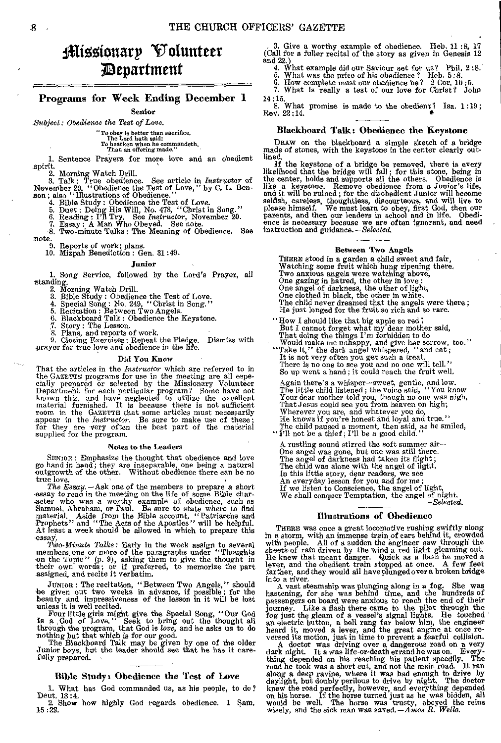# 5ionarp Volunteer ;Department

Programs for Week Ending December 1

Senior

*Subject: Obedience the Test* of Love.

"To obey is better than *sacrifice,*  The Lord hath said: To hearken when he commandeth. Than an offering made."

1. Sentence Prayers for more love and an obedient spirit.

2. Morning Watch Drill.<br>3. Talk : True obedience. See article in *Instructor* of<br>November 20, "Obedience the Test of Love," by C. L. Ben-<br>son; also "Illustrations of Obedience."

4. Bible Study : Obedience the Test of Love.<br>5. Duet : Doing His Will, No. 478, "Christ in Song."<br>6. Reading : I'll Try. See *Instructor*, November 20.<br>7. Essay : A Man Who Obeyed. See note.<br>8. Two-minute Talks : The Meani note.

9. Reports of work; plans. 10. Mizpah Benediction : Gen. 31 :49.

# Junior

1. Song Service, followed by the Lord's Prayer, all standing. 2. Morning Watch Drill.

3. Bible Study: Obedience the Test of Love.<br>4. Special Song: No. 249, "Christ in Song."<br>5. Recitation: Between Two Angels.<br>6. Blackboard Talk: Obedience the Keystone.<br>7. Story: The Lesson.<br>8. Plans, and reports of work.

9. Closing Exercises : Repeat the Pledge. Dismiss with prayer for true love and obedience in the life.

### Did You Know

That the articles in the *Instructor* which are referred to in the GAZETTE programs for use in the meeting are all especially prepared or selected by the Missionary Volunteer Department for each particular program? Some have not known this, and have neglected to utilize the excellent

### Notes to the Leaders

SENIOR : Emphasize the thought that obedience and love go hand in hand; they are inseparable, one being a natural outgrowth of the other. Without obedience there can be no

true love.<br>The Essay. - Ask one of the members to prepare a short essay to read in the meeting on the life of some Bible character who was a worthy example of obedience, such as Samuel, Abraham, or Paul. Be sure to state w

essay,<br> *Two-Minute Talks:* Early in the week assign to several members one or more of the paragraphs under "Thoughts on the Topic" (p. 9), asking them to give the thought in their own words; or if preferred, to memorize the part assigned, and recite it verbatim.

JUNIOR : The recitation, "Between Two Angels," should be given out two weeks in advance, if possible; for the beauty and impressiveness of the lesson in it will be lost unless it is well recited.

Four little girls might give the Special Song, "Our God Is a God of Love." Seek to bring out the thought all through the program, that God is love, and he asks us to do nothing but that which is for our good. The Blackboar

Junior boys, but the leader should see that he has it carefully prepared.

### Bible Study: Obedience the Test of Love

1. What has God commanded us, as his people, to do?

Deut. 13:4.<br>
2. Show how highly God regards obedience. 1 Sam.  $15:22.$ 

3. Give a worthy example of obedience. Heb. 11 :8, 17 (Call for a fuller recital of the story as given in Genesis 12

and 22,) 4. What example did our Saviour set for us? Phil. 2 :8. 5. What *was* the price of his obedience? Heb. 5:8.

6. How complete must our obedience be? 2 Cor, 10 :5.

7. What is really a test of our love for Christ? John 14 :15. 8. What promise is made to the obedient? Isa. 1 :19 ;

Rev. 22 :14.

# Blackboard Talk: Obedience the Keystone

DRAW on the blackboard a simple sketch of a bridge made of stones, with the keystone in the center clearly outlined.

If the keystone of a bridge be removed, there is every likelihood that the bridge will fall; for this stone, being in the center, holds and supports all the others. Obedience is like a keystone. Remove obedience from a Jun and it will be ruined ; for the disobedient'Junior will become selfish, careless, thoughtless, discourteous, and will live to please himself. We must learn to obey, first God, then our parents, and then our parents in school and in life. Obedi-<br>ence is necessary because we are often i

### Between Two Angels

THERE stood in a garden a child sweet and fair, Watching some fruit which hung ripening there. Two anxious angels were watching above, One gazing in hatred, the other in love : One angel of darkness, the other of light, One clothed in black, the other in white. The child never dreamed that the angels were there ; He just longed for the fruit so rich and so rare.

"How I should like that big apple so red! But I cannot forget what my dear mother said, That doing the things I'm forbidden to do

Would make me unhappy, and give her sorrow, too."<br>"Take it," the dark angel whispered, "and eat;<br>It is not very often you get such a treat.<br>There is no one to see you and no one will tell."<br>So up went a hand; it could reac

Again there's a whisper-sweet, gentle, and low. The little child listened; the voice said, "You know<br>Your dear mother told you, though no one was nigh,<br>That Jesus could see you from heaven on high;<br>Wherever you are, and whatever you do,<br>He knows if you're honest and loy

A rustling sound stirred the soft summer air-One angel was gone, but one was still there. The angel of darkness had taken its flight; The child was alone with the angel of light.<br>In this little story, dear readers, we see<br>An everyday lesson for you and for me; If we listen to Conscience, the angel of light, We shall conquer Temptation, the angel of night. *-Selected.* 

### Illustrations of Obedience

THERE was once a great locomotive rushing swiftly along in a storm, with an immense train of cars behind it, crowded<br>with people. All of a sudden the engineer saw through the<br>sheets of rain driven by the wind a red light gleaming out.<br>He knew that meant danger. Quick as a flash lever, and the obedient train stopped at once. A few feet farther, and they would all have plunged over a broken bridge

into a river.<br>A vast steamship was plunging along in a fog. She was<br>hastening, for she was behind time, and the hundreds of<br>passengers on board were anxious to reach the end of their<br>journey. Like a flash there came to the an electric button, a bell rang far below him, the engineer<br>heard it, moved a lever, and the great engine at once re-<br>versed its motion, just in time to prevent a fearful collision.<br>A doctor was driving over a dangerous ro

dark night. It a was life-or-death errand he was on. Every-thing depended on his reaching his patient speedily. The road he took was a short cut, and not the main road. It ran along a deep ravine, where it was bad enough to drive by daylight, but doubly perilous to drive by night. The doctor knew the road perfectly, however, and everything depended on his horse. If the horse turned just as he wa wisely, and the sick man was saved. *-Amos R. Wells*.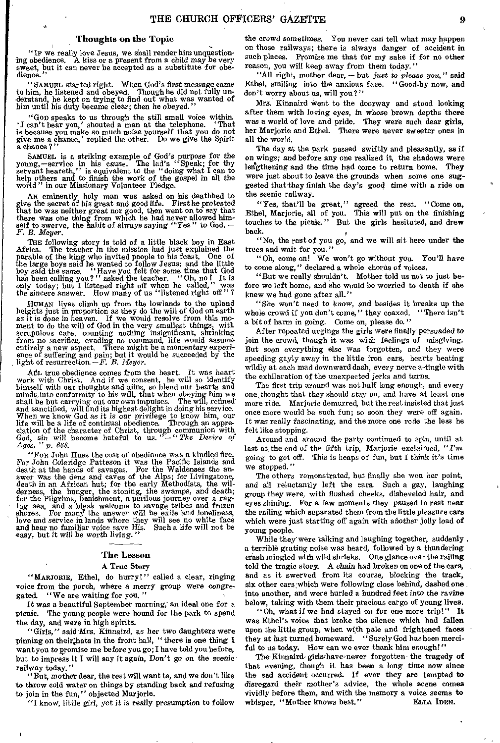### Thoughts on the Topic

ø

"IF we really love Jesus, we shall render him unquestioning obedience. A kiss or a present from a child may be very sweet, but it can never be accepted as a substitute for obedience.

" Samunti started right. When God's first message came to him, he listened and obeyed. Though he did not fully understand, he kept on trying to find out what was wanted of him until his duty became clear; then he obeyed."

"Gon speaks to us through the still small voice within. 'I can't hear you,' shouted a man at the telephone. 'That is because you make so much noise yourself that you do not give me a chance,' replied the other. Do we give the Spirit a chance?''

SAMUEL is a striking example of God's purpose for the young,—service in his cause. The lad's "Speak; for thy servant heareth," is equivalent to the "doing what I can to help others and to finish the work of the gospel in all the world " in our Missionary Volunteer Pledge.

AN eminently holy man was asked on his deathbed to give the secret of his great and good life. First he protested that he was neither great nor good, then went on to say that there was one thing from which he had never al *F. B. Meyer.* 

THE following story is told of a little black boy in East Africa. The teacher in the mission had just explained the The teacher in the mission had just explained the parable of the king who invited people to his feast. One of the large boys said he wanted to follow Jesus; and the little boy said the same. "Have you felt for some time that God has been calling you?" asked the teacher. only today; but I listened right off when he called," was the sincere answer. How many of us "listened right off"?

HUMAN lives climb up from the lowlands to the upland<br>heights just in proportion as they do the will of God on earth<br>as it is done in heaven. If we would resolve from this mo-<br>ment to do the will of God in the very smallest from no sacrifice, evading no command, life would assume entirely a new aspect. There might be a momentary experience of suffering and pain; but it would be succeeded by the light of resurrection.  $-F$ . *B. Meyer*.

Ati. true obedience comes from the heart. It *was* heart work with Christ. And if we consent, he will so identify himself with our thoughts and aims, so blend our hearts and minds, into conformity to his will, that when obeying him we shall be but carrying out our own impulses. When we know God as it is our privilege to know him, our life will be a life of continual obedience. Through an appreciation of the character of Christ, through communion with God, sin will become hateful to us. " $-$ " *The Desire of Ages, " p. 668.* 

*"FOR* John Huss the cost of obedience was a kindled fire. For John Coleridge Patteson it was the Pacific Islands and death at the hands of savages. For the Waldenses the an-swer was the dens and caves of the Alps; for Livingstone, death in an African hut; for the early Methodists, the wil-<br>derness, the hunger, the stoning, the swamps, and death;<br>for the Pilgrims, banishment, a perilous journey over a rag-<br>ing sea, and a bleak welcome to savage tribe and hear no familiar voice save His. Such a life will not be easy, but it will be worth living."

### The Lesson

### A True Story

"MARJORIE, Ethel, do hurry!" called a clear, ringing voice from the porch, where a merry group were congregated. "We are waiting for you, "

*It was* a beautiful September morning; an ideal one for a picnic. The young people were bound for the park to spend the day, and were in high spirits.

"Girls," saidMrs. *Kinnaird,* as her two daughters were pinning on their;hats in the front hall, "there is one thing I want you to promise me before you go; I have told you before, but to impress it I will say it again, Don't go on the scenic railway today."

"But, mother dear, the rest will want to, and we don't like to throw cold water on things by standing back and refusing to join in the fun," objected Marjorie.

"I know, little girl, yet it *is* really presumption to follow

the crowd sometimes. You never can tell what may happen on those railways; there is always danger of accident *in*  such places. Promise me that for my sake if for no other reason, you will keep away from them today."

"All right, mother dear, — but *just to please* you," said Ethel, smiling into the anxious face. "Good-by now, and don't worry about us, will you?"

Mrs. Kinnaird 'Went to the doorway and stood looking after them with loving eyes, *in* whose brown depths there was a world of love and pride. They were such dear girls, her Marjorie and Ethel. There were never sweeter ones in all the world.

The day at the park passed swiftly and pleasantly, as if on *wings;* and before any one realized it, the shadows were lengthening and the time had come to return home. They were just about to leave the grounds when some one *suggested* that they finish the day's *good* time with a ride on the scenic railway.

"Yes, that'll be great," agreed the rest. "Come on, Ethel, Marjorie, all of you. This will put on the finishing touches to the picnic." But the girls hesitated, and drew back.

"No, the rest of you go, and we will sit here under the trees and wait for you."

"Oh, come on! We won't go without you. You'll have to come along," declared a whole chorus of voices.

"But we really shouldn't. Mother told us not to just before we left home, and she would be worried to death if she knew we had gone after all."

"She won't need to know, and besides it breaks up the ble crowd if you don't come," they coaxed. "There isn't whole crowd if you don't come," they coaxed. a bit of harm in going. Come on, please do."

After repeated urgings the girls were finally persuaded to join the crowd, though it *was* with feelings of misgiving. But *soon* everything else was forgotten, and they were speeding gayly away in the little iron cars, hearts beating wildly at each mad downward dash, every nerve a-tingle with the exhilaration of the unexpected jerks and turns.

The first trip around was not half long enough, and every one thought that they should stay on, and have at least one more ride. Marjorie demurred, but the rest insisted that just once more would be such fun; so soon they were off again. It was really fascinating, and the more one rode the less he felt like stopping.

Around and around the party continued to spin, until at last at, the end of the fifth trip, *Marjorie* exclaimed, *"I'm*  going to get off. This is heaps of fun, but I think it's time we stopped."

The others remonstrated, but finally she won her point, and all reluctantly left the cars. Such a gay, laughing group they were, with flushed cheeks, disheveled hair, and eyes shining. For a few moments they paused to rest near the railing which separated them from the little pleasure cars which were just starting off again with another jolly load of young people.

While they were talking and laughing together, suddenly , a terrible grating noise was heard, followed by a thundering crash mingled with wild shrieks. One glance over the railing told the tragic story. A chain had broken on one of the cars, and as it swerved from its course, blocking the track, six other cars which were following close behind, dashed one. into another, and were hurled a hundred feet into the *ravine*  below, taking with them their precious cargo of young lives.

"Oh, what if we had stayed on for one more trip!" It was Ethel's voice that broke the silence which had fallen upon the little group, when with pale and frightened faces they at last turned homeward. "Surely God has been merciful to us today. How can we ever thank him enough!"

The Kinnaird girls have never forgotten the tragedy of that evening, though it has been a long time now *since*  the sad accident occurred. If ever they are tempted to disregard their mother's advice, the whole scene comes vividly before them, and with the memory a voice seems to whisper. "Mother knows best." ELLA IDEN. whisper, "Mother knows best."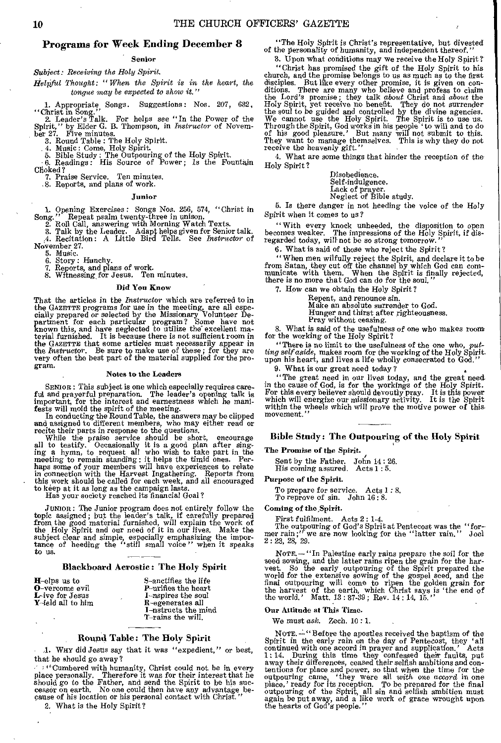# Programs for Week Ending December 8

Senior

*Subject: Receiving the Holy Spirit.* 

*Helpful Thought: "When the Spirit is in the* heart, *the tongue may be expected to show it."* 

1. Appropriate Songs. Suggestions: Nos. 207, 632,<br>
"Christ in Song."<br>
2. Leader's Talk. For helps see "In the Power of the<br>
Spirit," by Elder G. B. Thompson, in *Instructor* of Novem-<br>
ber 27. Five minutes.

3. Round Table : The Holy Spirit.

4. Music: Come, Holy Spirit. 5. Bible Study : The Outpouring of the Holy Spirit. 6. Readings : His Source of Power ; Is the Fountain

Choked? 7. Praise Service. Ten minutes. 7. Praise Service. Ten minutes.<br>8. Reports, and plans of work.

### Junior

1. Opening Exercises: Songs Nos. 256, 574, "Christ in Song." Repeat psalm twenty-three in unison.<br>2. Roll Gall, answering with Morning Watch Texts.<br>3. Talk by the Leader. Adapt helps given for Senior talk.<br>4. Recitation: A

November 27.

5. Music. 6. Story: Hunchy.

Reports, and plans of work.

8. Witnessing, for Jesus. Ten minutes.

### Did You Know

That the articles in the *Instructor* which are referred to in the GAZETTE programs for use in the meeting, are all espe-cially prepared or selected by the Missionary Volunteer Department for each particular program? Some have not known this, and have neglected to utilize the' excellent material furnished. It is because there is not sufficient room in the GAZETTE that some articles must necessarily appear in the Instructor. Be sure to make use of these; for they are very often the best part of the material supplied for the program.

### Notes to the Leaders

SENIOR : This subject is one which especially requires careful and prayerful preparation. The leader's opening talk is important, for the interest and earnestness which he mani-fests will mold the spirit of the meeting.

In conducting the Round Table, the answers may be clipped

and assigned to different members, who may either read or<br>recite their parts in response to the questions.<br>While the praise service should be short, encourage<br>all to testify. Occasionally it is a good plan after sing-<br>ing this work should be called for each week, and all encouraged to keep at it as long as the campaign lasts. Has your society reached its financial Goal?

JUNIOR: The Junior program does not entirely follow the topic assigned; but the leader's talk, if carefully prepared from the good material furnished, will explain the work of the Holy Spirit and our need of it in our live subject clear and simple, especially emphasizing the impor-tance of heeding the "still small voice " when it speaks to us.

### Blackboard Acrostic: The Holy Spirit

| H-elps us to              | S-anctifies the life      |
|---------------------------|---------------------------|
| <b>0-vercome</b> evil     | P-urifies the heart       |
| L-ive for Jesus           | I-nspires the soul<br>٠   |
| <b>Y</b> -ield all to him | R-egenerates all          |
|                           | I-nstructs the mind       |
|                           | <b>T</b> -rains the will. |

# Round Table: The Holy Spirit

,1. WHY did Jesus say that it was "expedient," or best, that he should go away?

"'Cumbered with humanity, Christ could not be in every place personally. Therefore it was for their interest that he should go to the Father, and send the Spirit to be his successor on earth. No one could then have any advantage he-cause of his location or his personal contact with Christ."

2. What is the Holy Spirit?

"The Holy Spirit is Christ's representative, but divested of the personality of humanity, and independent thereof.

3. Upon what conditions may we receive the Holy Spirit? "Christ has promised the gift of the Holy Spirit to his<br>church, and the promise belongs to us as much as to the first<br>disciples. But like every other promise, it is given on con-<br>ditions. There are many who believe and pr

4. What are some things that hinder the reception of the

Holy Spirit?

Disobedience. Self-indulgence.

Lack of prayer. Neglect of Bible study.

5. Is there danger in not heeding the voice of the Holy Spirit when it comes to us ?

"With every knock unheeded, the disposition to open becomes weaker. The impressions of the Holy Spirit, if dis-regarded today, will not be so strong tomorrow."

6. What is said of those who reject the Spirit?

"When men wilfully reject the Spirit, and declare it to be from Satan, they cut off the channel by which God can com-<br>municate with them. When the Spirit is finally rejected,<br>there is no more that God can do for the soul."

7. How can we obtain the Holy Spirit?

Repent, and renounce sin. Make an absolute surrender to God.

Hunger and thirst after righteousness.

Pray without ceasing.

8. What is said of the usefulness of one who makes room for the working of the Holy Spirit?

"There is no limit to' the usefulness of the one who, *putting self aside,* makes room for the working of the Holy Spirit upon his heart, and lives a life wholly consecrated to God."

9. What is our great need today?

"The great need in our lives today, and the great *need*  in the cause of God, is for the workings of the Holy Spirit. For this every believer should devoutly pray. It is this power which will energize our missionary activity. It is the Spirit within the wheels which will prove the motive power of this movement."

### Bible Study: The Outpouring of the Holy Spirit

The Promise of the Spirit.

Sent by the Father. John 14 : 26. His coming assured. Acts 1 : 5.

Purpose of the Spirit.

To prepare for service. Acts 1 : 8.

To reprove of sin. John 16:8.

Coming of the Spirit.

First fulfilment. Acts 2: 1-4.<br>The outpouring of God's Spirit at Pentecost was the "for--<br>mer rain;" we are now looking for the "latter rain." Joel 2 : 23, 28; 29.

NOTE.- "In Palestine early rains prepare the soil for the seed sowing, and the latter rains ripen the grain for the harvest. So the early outpouring of the Spirit prepared the world for the extensive sowing of the gospel seed, and the final outpouring will come to ripen the golde the harvest of the earth, which Christ says is 'the end of the world.' Matt. 13 : 37-39 ; Rev. 14 : 14, 15."

### Our Attitude at This Time.

We must *ask.* Zech. 10 : 1.

NOTE.-"Before the apostles received the baptism of the Spirit in the early rain on the day of Pentecost, they 'all continued with one accord in prayer and supplication.' Acts 1; 14. During this time they confessed their faults, put away their differences, ceased their selfish ambitions and contentions for place and power, so that when the time for the outpouring came, 'they were all with one accord in one place,' ready for its reception. To be prepared for the final outpouring of the Spirit, all sin and selfish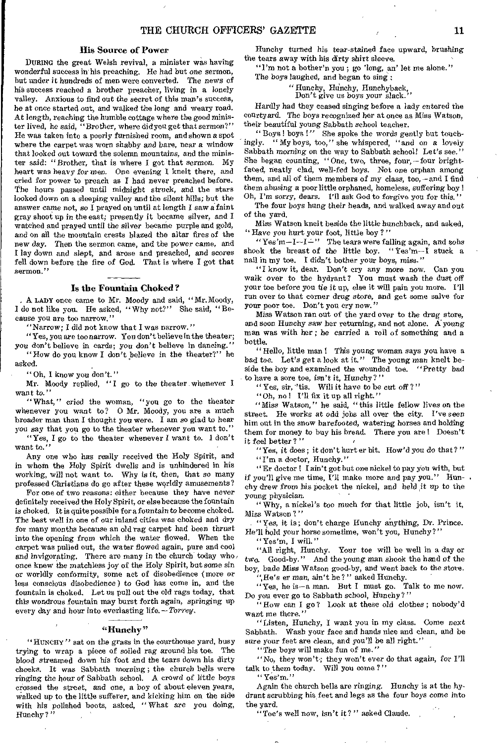### His Source of Power

DURING the great Welsh revival, a minister was having wonderful success in' his preaching. He had but *one* sermon, but under it hundreds of men were converted. The news of his success reached a brother preacher, living in a lonely valley. Anxious to find out the secret of this man's success, he at once started out, and walked the long and weary road. At length, reaching the humble cottage where the good minister lived, he said, "Brother, where did you get that sermon?" He was taken into a poorly furnished room, and shown a spot where the carpet was worn shabby and bare, near a window that looked out toward the solemn mountains, and the minister said: "Brother, that is where I got that *sermon.* My heart was heavy *for men.* One evening I knelt there, and cried for power to preach as I had never preached before. The hours passed until midnight struck, and the stars looked down on a sleeping valley and the silent hills; but the answer came not, so I prayed on until at length I saw a faint gray shoot up in the east; presently it became silver, and I watched and prayed until the *silver* became purple and gold, and on all the mountain crests blazed the altar fires of the new day. Then the sermon came, and the power came, and I lay down and slept, and arose and preached, and scores fell down before the fire *of* God. That is where I got that sermon."

### Is the Fountain Choked ?

, A LADY once came to Mr. Moody and said, "Mr. Moody, I do not like you. He asked, "Why not?" She said, "Because you are too narrow."

"Narrow; I did not know that I was narrow."

"Yes, you are too *narrow.* You don't believe in the theater; you don't believe in cards; you don't believe in dancing." "How do you know I don't believe *in* the theater?" he

"Oh, I know you don't. "

asked.

Mr. Moody replied, "I go to the theater whenever I want to."

"What," cried the woman, "you go to the theater whenever you want to? 0 Mr. Moody, you are a much broader man than I thought you were. I am so glad to hear you say that you go to the theater whenever you want to."

"Yes, I go to the theater whenever I want to. I don't want to."

Any one who has really received the Holy Spirit, and in whom the Holy Spirit dwells and is unhindered in his working, will not want to. Why is it, then, that so many professed Christians do go after these worldly amusements?

For one of two *reasons:* either because they have never definitely received the Holy Spirit, or else because the fountain is choked. It is quite possible for a fountain to become choked. The best well in one of our inland cities was choked and dry for many months because an old rag carpet had been thrust into the opening from which the water flowed. When the carpet was pulled out, the water flowed again, pure and cool and invigorating. There are many in the church today who  $/$ once knew the matchless joy of the Holy Spirit, but some sin or worldly conformity, some act of disobedience (more or less conscious disobedience) to God has come in, and the fountain is choked. Let us pull out the old rags today, that this wondrous fountain may burst forth again, springing up every day and hour into everlasting life. — *Torrey.* 

# "Hunchy"

"HUNCHY" sat on the grass in the courthouse yard, busy trying to wrap a piece of soiled rag around his toe. The blood streamed down his foot and the tears down his dirty cheeks. It was Sabbath morning ; the church bells were ringing the hour of Sabbath school. A crowd of little boys crossed the street, and one, a boy of about eleven years, walked up to the little sufferer, and kicking him on the side with his polished boots, asked, " What are you doing, Hunchy?'

Hunchy turned his tear-stained face upward, brushing the tears away with his dirty shirt sleeve.

"I'm not a bother'n you ; go 'long, an' let me alone."

The boys laughed, and began to sing :

"Hunchy, Iltinchy, Hunehyback, Don't give *us* boys your slack."

Hardly had they ceased singing before a lady entered the courtyard. The boys recognized her at once as Miss Watson, their beautiful young Sabbath school teacher.

" Boys ! boys !" She spoke the words gently but touchingly. "My boys, too," she whispered, "and on a lovely Sabbath *morning* on the way to Sabbath school! Let's see." She began counting, "One, two, three, four, —four brightfaced, neatly clad, well-fed boys. Not one orphan among them, and all of them members of my class, too, —and I find them abusing a poor little orphaned, homeless, suffering boy ! Oh, I'm sorry, dears. I'll ask God to forgive you for this."

The four boys hung their heads, and walked away and out of the yard.

Miss Watson knelt beside the little hunchback, and asked, "Have you hurt your foot, little boy ?"

"Yes'm- $I-I$ -'" The tears were falling again, and sobs shook the breast of the little boy. "Yes'm—I stuck a nail in my toe. I didn't bother your boys, miss."

"I know it, dear. Don't cry any more now. Can you walk over to the hydrant? You must *wash* the dust off your toe before you tie it up, else it will pain you more. I'll run over to that corner drug store, and get some salve for your poor toe. Don't you cry now."

Miss Watson ran out of the yard over to the drug store, and soon Hunchy saw her returning, and not alone. A young man was with her; he carried a roll of something and a bottle.

" Hello, little man I This young *woman* says you have a bad toe. Let's get a look at it." The young man knelt beside the boy and examined the wounded toe. "Pretty bad to have a sore toe, isn't it, Hunchy?'

"Yes, sir, ''tis. Will it have to be cut off ? "

"Oh, no! I'll fix it up all right."

"Miss Watson," he said, "this little fellow lives on the street. He works at odd jobs all over the city. I've seen him out in the snow barefooted, watering horses and holding them for money to buy his bread. There you are ! Doesn't it feel better ?

"Yes, it does ; it don't hurt er bit. How'd you do that? " "I'm a doctor, Hunchy."

"Er doctor I I ain't got but one nickel to pay you with, but if you'll give me time, I'll make more and pay you." Hunchy drew from his pocket the nickel, and held it up to the young physician.

" Why, a nickel's too much for that little job, isn't it, Miss Watson ? "

"Yes, it is; don't charge Hunchy *anything,* Dr. Prince. He'll hold *your* horse sometime, won't you, Hunehy ? "

"Yes'm, I will."

"All right, Hunchy. Your toe will be well in a day or two. Good-by." And the young man shook the hand of the boy, bade Miss Watson good-by, and went back to the store.

He's er man, ain't he ? " asked Hunchy.

"Yes, he is—a man. But I must go. Talk to me now. Do you ever go to Sabbath school, Hunchy?"

"How can I go? Look at these old clothes; nobody'd want me there,

"Listen, Hunchy, I want you in my class. Come next Sabbath. Wash your face and hands nice and clean, and be sure your feet are clean, and you'll be all right."

"The boys will make fun of me."

"No, they won't; they won't ever do that again, for I'll talk to them today. Will you come ?"

"Yes'm." Again the church bells are ringing. Hunchy is at the hy-

drant scrubbing his, feet and legs as the four boys come into the yard.

"Toe's well now, isn't it? " asked Claude.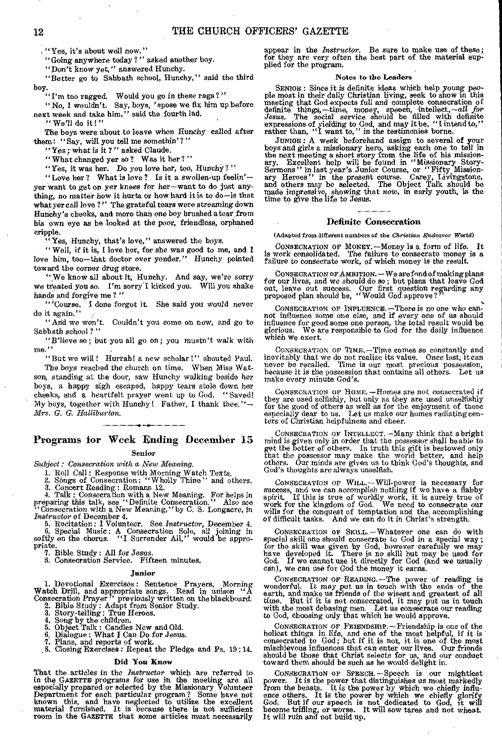"Yes, it's about well now."

"Going anywhere today ? " asked another boy.

"Don't know yet," answered Hunchy.

"Better go to Sabbath school, Hunchy," said the third

boy. "I'm too ragged. Would you go in these rags? "

" No, I wouldn't. Say, boys, 'spose we fix him up before next week and take him," said the fourth lad.

 $"$  We'll do it!"

The boys were about to leave when Hunchy called after them: "Say, will you tell me somethin'?"

"Yes ; what is it ? " asked Claude.

" What changed yer so ? Was it her ? "

"Yes, it was her. Do you love her, too, Hunchy? "

"Love her? What is love? Is it a swollen-up feelin' yer want to get on yer knees for her—want to do just anything, no matter how it hurts or how hard it is to do—is that what yer call love ?" The grateful tears were streaming down Hunchy's cheeks, and more than one boy brushed a tear from his own eye as he looked at the poor, friendless, orphaned cripple.

"Yes, Hunchy, that's love," answered the boys.

" Well, if it is, I love her, for *she* was good to me, and I love him, too—that doctor over yonder." Hunchy pointed toward the corner drug store.

"Ne know all about it, Hunchy. And say, we're sorry we treated you so. I'm sorry I kicked you. Will you shake hands and forgive me?"

 $"$ Course. I done forgot it. She said you would never do it again."

"Arid we won't. Couldn't you come on now, and go to Sabbath school ?"

"B'lieve so; but you all go on; you mustn't walk with me."

"But we will ! Hurrah! a new scholar !" shouted Paul. The boys reached the church on time. When Miss Watson, standing at the door, saw Hunchy walking beside her boys, a happy sigh escaped, happy tears stole down her cheeks, and a heartfelt prayer went up to God. "Saved! My boys, together with Hunchy Father, I thank thee. *"— Mrs. G. G. Halliburton.* 

# Programs for Week Ending December 15 Senior

*Subject : Consecration with a New Meaning.* 

1. Roll Call : Response with Morning Watch Texts. 2. Songs of Consecration: "Wholly Thine" and others.

3. Concert Reading : Romans 12. 4. Talk : Consecration with a New Meaning. For helps in preparing this talk, see "Definite Consecration." Also see "Consecration with a New Meaning," by C. S. Longacre, in *Instructor* of December 4.

6. Recitation: I Volunteer. See Instructor, December 4. 6. Special Music: A Consecration Solo, all joining in softly on the chorus. "I Surrender All," would be appropriate.

7. Bible Study : All for Jesus. 8. Consecration Service. Fifteen minutes.

### Junior

1. Devotional Exercises: Sentence Prayers, Morning Watch Drill, and appropriate songs. Read in unison "A Consecration Prayer"previously written on the blackboard. 2. Bible Study : Adapt from Senior Study.

3. Story-telling: True Heroes. 4. Song by the children.

5. Object Talk : Candles New and Old.

6. Dialogue: What I Can Do for Jesus.<br>7. Plans, and reports of work.

8. Closing *Exercises :* Repeat the Pledge and Ps. 19 : 14.

### Did You Know

That the articles in the *Instructor* which are referred to in the GAZETTE programs for use in the meeting are all especially prepared or selected by the Missionary Volunteer Department for each particular program? Some have not known this, and have neglected to utilize the excelle room in the GAZETTE that some articles must necessarily

appear in the *Instructor*. Be sure to make use of these; for they are very often the best part of the material supplied for the program.

### Notes to the Leaders

SENIOR : Since it is definite ideas which help young people most in their daily Christian living, seek to show in this meeting that God expects full and complete consecration of definite things,  $\text{-time}$ , morey, speech, in

JUNIOR: A week beforehand assign to several of your boys and girls a missionary hero, asking each one to tell in the next meeting a short story from the life of his missionary. Excellent help will be found in "Missionary S Sermons" in last year's Junior Course, or "Fifty Missionary Heroes" in the present course. Carey, Livingstone, and others may be selected. The Object Talk should be made impressive, showing that now, in early youth, is the time to give the life to Jesus.

### Definite Consecration

(Adapted from different numbers of the *Christian* Endeavor World)

CONSECRATION OF MONEY. —Money is a form of life. It is work consolidated. The failure to consecrate money is a failure to consecrate work, of which money is the result.

CONSECRATION OF AMBITION. - We are fond of making plans<br>for our lives, and we should do so; but plans that leave God<br>out, leave out success. Our first question regarding any proposed plan should be, "Would God approve?

CONSECRATION OF INFLUENCE. —There is no one who cannot influence some one else, and if every one of us should<br>influence for good some one person, the total result would be<br>glorious. We are responsible to God for the daily which we exert.

CONSECRATION OF TIME. —Time comes SO constantly and inevitably that we do not realize its value. Once lost, it can never be recalled. Time is our most precious possession, because it is the possession that contains all others. Let us make every minute God's.

CONSECRATION OF ROME. —Homes are not consecrated if they are used selfishly, but only as they are used unselfishly for the good of others as well as for the enjoyment of those especially dear to us. Let us make our homes radiating centers of Christian helpfulness and cheer.

CONSECRATION OF INTELLECT. —Many think that a bright mind is given only in order that the possessor shall be able to get the better of others. In truth this gift is bestowed only that the possessor may make the world better, and help others. Our minds are given us to think God's thoughts, and God's thoughts are always unselfish.

CONSECRATION OF WILL.—Will-power is necessary for success, and we can accomplish nothing if we have a flabby spirit. If this is true of worldly work, it is surely true of work for the kingdom of God. We need to consecrate our wills for the conquest of temptation and the accomplishing of difficult tasks. And we can do it in Christ's strength.

CONSECRATION OF SKILL. - Whatever one can do with special skill one should consecrate to God in a special way;<br>for the skill was given by God, however carefully we may<br>have developed it. There is no skill but may be used f God. If we cannot use it directly for God (and we usually can), we can use for God the money it earns.

CONSECRATION OF READING. —The power of reading is wonderful. It may put us in touch with the ends of the earth, and make us friends of the wisest and greatest of all time. But if it is not consecrated, it may put us in touch with the most debasing men. Let us consecrate our reading to God, choosing only that which he would approve.

CONSECRATION OF FRIENDSHIP.—Friendship is one of the holiest things in life, and one of the most helpful, if it is consecrated to God; but if it is mischievous influences that can enter our lives. Our friends should be tho

CONSECRATION OF SPEECH. --Speech is our mightiest power. It is the power that distinguishes us most markedly from the beasts. It is the power by which we chiefly glorify ance others. It is the power by which we chiefly glo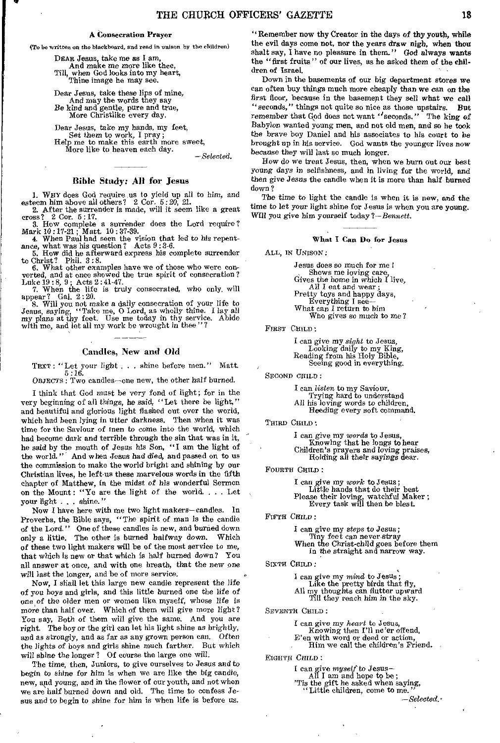# A Consecration Prayer

(To be written on the blackboard, and read in unison by the children)

DEAR Jesus, take me as I am, And make me more like thee, Till, when God looks into my heart, Thine image he may see.

Dear Jesus, take these lips of mine, And may the words they say *Be* kind and gentle, pure and true, More Christlike every day.

Dear Jesus, take *my* hands, my feet, Set them to work, I pray; Help me to make this earth more sweet, More like to heaven each day.

*—Selected.* 

# Bible Study: All for Jesus

1. WHY does God require us to yield up all to him, and esteem him above all others? 2 Cor. 5:20, 21.<br>2. After the surrender is made, will it seem like a great cross? 2 Cor. 5:17.

3. How complete a surrender does the Lord require? Mark 10 :17-21 ; Matt. 10 : 87-89. 4. When Paul had seen the vision that led to his repent-ance, what was his question? Acts *9:* 3-6.

5. How did he afterward express his complete surrender to Christ? Phil. 3 :8.

6. What other examples have we of those who were converted, and at once showed the true spirit of consecration ?

Luke 19:8, 9; Acts 2:41-47.<br>7. When the life is truly consecrated, who only will appear? Gal. 2:20,

S. Will you not make a daily consecration of your life to Jesus, saying, "Take me, 0 Lord, as wholly thine. I lay all ray plans at thy feet. Use me today in thy service. Abide with me, and let all my work be wrought in thee " ?

### Candles, New and Old

TEXT: "Let your light . . shine before men." Matt.

5 :16. OBJECTS: Two candles—one new, the other half burned.

I think that God must be very fond of light; for in the very beginning of all things, he said, "Let there be light," and beautiful and glorious light flashed out over the world, which had been lying in utter darkness. Then when it was time for the Saviour of men to come into the world, which had become dark and terrible through the sin that was in it, he said by the mouth of Jesus his Son, "I am the light of the world." And when Jesus had died, and passed on to us the commission to make the world bright and shining by our Christian lives, he left us these marvelous words in the fifth chapter of Matthew, in the midst *of* his wonderful Sermon on the Mount : "Ye are the light *of* the world. . . . Let your light . . . shine."

Now I have here with me two light makers—candles. In Proverbs, the Bible says, "The spirit of man is the candle of the Lord." One of these candles is new, and burned down only a little. The other is burned halfway down. Which only a little. The other is burned halfway down. of these two light makers will be of the most service to me, that which is new or that which is half burned down? You all answer at once, and with one breath, that the new one will last the longer, and be of more service.

Now, I shall let this large new candle represent the *life*  of *you* boys and girls, and this little burned one the *life* of one of the older men or women like myself, whose life is more than half over. Which of them will give more light? You say, Both of them will give the same. And you are right. The boy or the girl can let his light shine as brightly, and as strongly, and as far as any grown person can. Often the lights *of* boys and girls shine much farther. But which will shine the longer ? Of course the large one will.

The time, then, Juniors, to give ourselves to Jesus and to begin to shine for him is when we are like the big candle, new, and *young,* and in the flower of our youth, and not when we are half burned down and old. The time to confess Jesus and to begin to shine for him is when life is before us.

"Remember now thy Creator in the *days of* thy youth, while the evil days come not, nor the years draw *nigh,* when thou shalt say, I have no pleasure in them." God always wants the "first fruits" of our lives, as he asked them of the children of Israel.

Down in the basements of our big department stores we can often buy things much more cheaply than we *can* on the first floor, because in the basement they sell what we call "seconds," things not quite so nice as those upstairs. But remember that Rod does not want "seconds." The *king* of Babylon wanted young men, and not old men, and so he took the brave boy Daniel and his associates to his court to be brought up in his service. God wants the younger lives now *because they* will last so much longer.

How do we treat Jesus, then, when we burn out our beat *young days* in selfishness, and in living for the world, and then give Jesus the candle when it is more than half burned down ?

The time to light the candle is when it is new, and the time to let your light shine for Jesus is when you are young. Will you *give him* yourself today?—Bennett.

### What I Can Do for Jesus

ALL, IN UNISON:

Jesus does so much for me I Shows me loving care, Gives the home in which I live, All I eat and wear Pretty toys and happy days, Everything I see— What can I return to him Who gives so *much* to me?

FIRST CHILD :

I can give my *sight* to Jesus, Looking daily to my King, Reading from his Holy Bible, Seeing good in everything.

SECOND CHILD :

I can listen to my Saviour, Trying hard to understand All his loving *words* to children, Heeding every soft command.

THIRD CHILD :

I can give my *words* to Jesus, Knowing that he longs to bear Children's prayers and loving *praises,*  Holding all their *sayings* dear.

FOURTH CHILD:

I can *give my work* to Jesus; Little hands that do their best Please their loving, watchful Maker ; Every task will then be blest.

FIFTH CHILD :

I can give my *steps* to Jesus ; Tiny feet can never stray When the Christ-child goes before them In the straight and narrow way.

SIXTH CHILD :

<sup>•</sup> I can give my mind to Jesus;<br>
I Like the pretty birds that fly,<br>
All my thoughts can flutter upward<br>
Till they reach him in the sky.

SEVENTH CHILD:

I CHILD:<br>
I can give my *heart* to Jesus,<br>
Knowing then I'll ne'er offend,<br>
E'en with word or deed or action,<br>
Him we call the children's Friend.

EIGHTH CHILD :

I can give *myself* to Jesus—<br>
All I am and hope to be ;<br>
"I is the gift he asked when saying,<br>
"Little children, come to me."

*—Selected.*'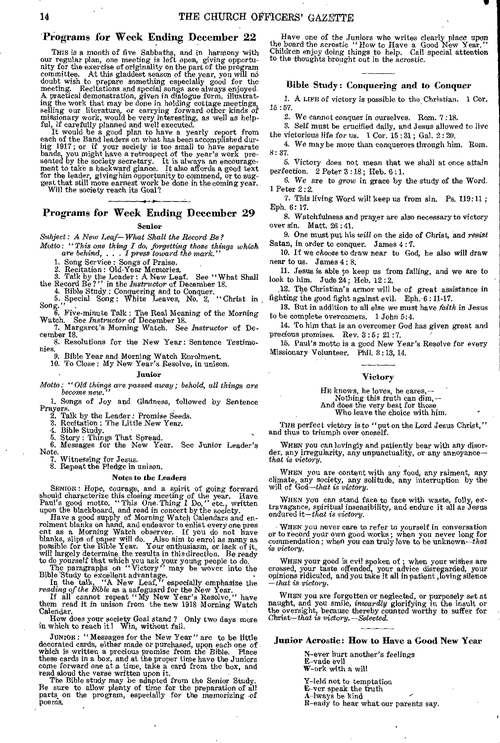# Programs for Week Ending December 22

THIS is a month of five Sabbaths, and in harmony with our regular plan, one meeting is left open, giving opportu-nity for the exercise of originality on the part of the program committee. At this gladdest season of the year, you will no doubt wish to prepare something especially good for the meeting. Recitations and special songs are always enjoyed-A practical demonstration, given in dialogue form, illustrat-

ing the work that may be done in holding cottage meetings, selling our literature, or carrying forward other kinds of missionary work, would be very interesting, as well as help-<br>ful, if carefully planned and well executed for the leader, givinghim opportunity to commend, or to sug-gest that still more earnest work be done in the coming year. Will the society reach its Goal?

# Programs for Week Ending December 29

### Senior

Subject: *A New Leaf-What Shall the Record Be?* 

Motto: *"This one thing I do, forgetting those things which*  are behind, . . . *I press toward the mark."* 

1. Song Service : Songs of Praise. 2. Recitation : Old-Year Memories.

3. Talk by the Leader: A New Leaf. See "What Shall the Record Be ? " in the *Instructor* of December 18.

4. Bible Study : Conquering and to Conquer. 5. Special Song: White Leaves, No. 2, "Christ in , Song." 6. Five-minute Talk : The Real Meaning of the Morning Watch. See *Instructor* of December 18.

7. Margaret's Morning Watch. See Instructor of December 18.

8. Resolutions for the New Year: Sentence Testimonies.

9. Bible Year and Morning Watch Enrolment. 10. To Close : My New Year's Resolve, in unison.

### Junior

*Motto; "Old things* are *passed away; behold, all things are become new.* 

1. Songs of Joy and Gladness, followed by Sentence Prayers.

2, Talk by the Leader: Promise Seeds. 3. Recitation : The Little New Year.

4. Bible Study.

5. Story : Things That Spread. 6. Messages for the New Year. See Junior Leader's Note.

7. Witnessing for Jesus. 8. Repeat the Pledge in unison.

# Notes to the Leaders

SENIOR: Hope, courage, and a spirit of going forward<br>should characterize this closing meeting of the year. Have<br>Paul's good motto, "This One. Thing I Do," etc., written<br>upon the blackboard, and read in concert by the socie

rolment blanks on hand, and endeavor to enlist every one pres ent as a Morning Watch observer. If you do not have<br>blanks, slips of paper will do. Also aim to enrol as many as<br>possible for the Bible Year. Your enthusiasm, or lack of it,<br>will largely determine the results in this direc

to do yourself that which you ask your young people to do.<br>The paragraphs on "Victory" may be wover into the<br>Bible Study to excellent advantage.<br>In the talk, "A New Leaf," especially emphasize the<br>reading of the Bible as a

How does your society Goal stand ? Only two days more in which to reach it I Win, without fail.

JUNIOR: "Messages for the New Year" are to be little decorated cards, either made or purchased, upon each one of which is written a precious promise from the Bible. Place these cards in a box, and at the proper time have the Juniors come forward one at a time, take a card fr read aloud the verse written upon it.

The Bible study may be adapted from the Senior Study. Be sure to allow plenty of time for the preparation of all parts. on the program, especially for the memorizing of poems.

Have one of the Juniors who writes clearly place upon the board the acrostic "How to Have a Good New Year." Children enjoy doing things to help. Call special attention to the thoughts brought out in the acrostic.

V

# Bible Study : Conquering and to Conquer

1. A LIFE of victory is possible to the Christian. 1 Cor. 15 : 57.

2. We cannot conquer in ourselves. Rom. 7 :18.

3. Self must be crucified daily, and Jesus allowed to live the victorious life for us.  $1 \text{ Cor. } 15:31$ ; Gal.  $2:20$ .

4. We may be more than conquerors through him. Rom. 8: 37.

5. Victory does not mean that we shall at once attain perfection. 2 Peter 3 :18 ; Heb. 6 :1.

6. We are to grow in grace by the study of the Word. 1 Peter 2 ; 2.

7. This living Word will keep us from sin. Ps. 119:11 ; Eph. 6: 17.

*S.* Watchfulness and prayer are also necessary to victory over sin. Matt. *26 :41.* 

9. One must put his *will* on the side of Christ, and *resist*  Satan, in order to conquer. James 4 : 7.

10. If we choose to draw near to God, he also will draw near to us. James 4: 8.

11. Jesus is able to keep us from falling, and we are to look to him. Jude 24; Heb. 12:2.

12. The Christian's armor will be of great assistance in fighting the good fight against evil. Eph. 6 : 11-17.

13. But in addition to all else we must have *faith* in Jesus to be complete overcomers. 1 John 6:4.

14. To him that is an overcomer God has given great and precious promises. Rev. 3:5; 21:7.

15. Paul's motto is a good New Year's Resolve for every Missionary Volunteer. Phil. 8 : 13, 14.

### Victory

HE knows, he loves, he cares, -Nothing this truth can dim, -

And does the very best for those Who leave the choice with him.

THE perfect victory is to "put on the Lord Jesus Christ," and thus to triumph over oneself.

WHEN you can lovingly and patiently bear with any disorder, any irregularity, any unpunctuality, or any annoyancethat is *victory.* 

WHEN you are content with any food, any raiment, any climate, any society, any solitude, any interruption by the will of God-that *is victory.* 

WHEN you can stand face to face with waste, folly, ex-travagance, spiritual insensibility, and endure it all as Jesus endured *it-that is victory.* 

WHEN you never care to refer to yourself in conversation or to record your own good works ; when you never *long* for commendation ; when you can truly love to be unknown-that *is victory.* 

WHEN your good is evil spoken of ; when your wishes are crossed, your taste offended, your advice disregarded, your opinions ridiculed, and you take it all inpatient ,loving silence -that is victory.

WHEN you are forgotten or neglected, or purposely set at naught, and you smile, *inwardly* glorifying in the insult or the oversight, because thereby counted worthy to suffer for Christ-that Is *victory. -Selected.* 

Junior Acrostic: How to Have a Good New Year

N-ever hurt another's feelings E-vade evil W-ork with a will

Y-field not to temptation

E-ver speak the truth A-lways be kind

R-eady to hear what our parents say.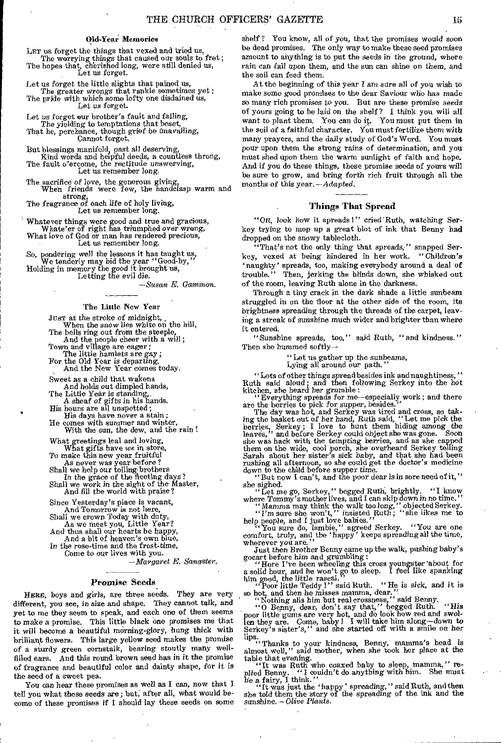### Old.Year Memories

LET us forget the things that vexed and tried us, The worrying things that caused our souls to fret ; The hopes that, cherished *long,* were still denied us, Let us forget.

Let us *forget* the little slights that pained us, The greater wrongs that rankle sometimes yet ; The pride with which some lofty one disdained us, Let us forget.

Let us forget our brother's fault and failing, The yielding to temptations that beset, That he, perchance, though grief be unavailing,

Cannot forget.

But blessings manifold, past all deserving, Kind words and helpful deeds, a countless throng, The fault o'ercome, the rectitude unswerving,

Let us remember long.

The sacrifice of love, the generous giving, When friends were few, the handclasp warm and strong,<br>The fragrance of each life of holy living,

Let us remember long.

Whatever things were good and true and gracious, Whate'er of right has triumphed *over* wrong, What love of God or man has rendered precious, Let us remember long.

So, pondering well the lessons it has taught us, We tenderly may bid the year "Good-by," Holding in memory the good it brought us, Letting the evil die.

*—Susan E. Gammon.* 

### The Little New Year

JUST at the stroke *of* midnight, When the snow lies white on the hill,

The bells ring out from the steeple, And the people cheer with a will;

Town and village are eager;

The little hamlets are gay;<br>For the Old Year is departing,<br>And the New Year comes today.

Sweet as a child that wakens And holds out dimpled hands,

The Little Year is standing,. A sheaf of *gifts* in his hands.

His hours are all unspotted;

His days have never a stain ; He comes with summer and winter,

With the sun, the dew, and the rain !

What greetings Leal and loving, What gifts have we in store, To make this new year fruitful

As never was year before ?

Shall we help our toiling- brothers In the grace of the fleeting days? Shall we work in the sight of the Master, And fill the world with praise?

Since Yesterday's place is *vacant,* 

And Tomorrow is not here,

Shall we crown Today with duty, As we meet you, Little Year?

And thus shall our hearts be happy, And a bit of heaven's own blue,

In the rose-time and the frost-time, Come to our lives with you.

*—Margaret E. Sangster.* 

### Promise Seeds

HERE, boys and girls, are three seeds. They are very different, you see, in size and shape. They cannot talk, and yet to me they seem to speak, and each one of them seems to make a promise. This little black one promises me that it will become a beautiful morning-glory, hung thick with brilliant flowers. This large yellow seed makes the promise of a sturdy green cornstalk, bearing stoutly many wellfilled ears. And this round brown seed has in it the promise of fragrance and beautiful color and dainty shape, for it is the seed of a sweet pea.

You can hear these promises as well *as I* can, now that I tell you what these seeds are; but; after all, what would become of these promises if I should lay these seeds on some

shelf ? You know, all of you, that the promises would soon be dead promises. The only way to make these seed promises amount to anything is to put the seeds in the ground, where rain can fall upon them, and the sun can shine on them, and the soil can feed them.

At the beginning of this year I am sure all of you wish to make some good promises to the dear Saviour *who* has made so many rich promises to you. But are these promise seeds of yours going to be laid on the shelf ? I think you will all want to plant them. You can do it. You must put them in the soil of a faithful character. You must fertilize them with many prayers, and the daily study of God's Word. You must pour upon them the strong rains of determination, and you must shed upon them the warm sunlight of faith and hope. And if you do these *things,* these promise seeds of yours will be sure to grow, and bring forth rich fruit through all the months of this year. —Adapted.

### Things That Spread

"On, look how it spreads !" cried 'Ruth, watching Serkey trying to mop *up* a great blot of ink that Benny had dropped on the snowy tablecloth.

"That's not the only thing that spreads," snapped Serkey, vexed at being hindered in her work. "Children's ' naughty' spreads, too, *making* everybody around a deal of trouble." Then, jerking the blinds down, she whisked out of the room, *leaving* Ruth alone in the darkness.

Through a tiny crack in the dark shade a little sunbeam struggled in on the floor at the other side of the room, its brightness spreading through the threads of the carpet, leaving a streak of sunshine much wider and brighter than where it entered.

"Sunshine spreads, too," said Ruth, "and kindness." Then she hummed softly-

" Let us gather up the sunbeams, Lying all around our path."

"Lots of other things spread besides ink and naughtiness,"<br>Ruth said aloud; and then following Serkey into the hot<br>kitchen, she heard her grunnle:<br>""Everything spreads for me-especially work; and there<br>are the berries to

The day was hot, and Serkey was tired and cross, so taking the basket out of her hand, Ruth said, "Let me pick the berries, Serkey; I love to hunt them hiding among the leaves," and before Serkey could object she was gone. she was back with the tempting berries, and as she capped them on the wide, cool porch, she overheard Serkey telling Sarah about her sister's sick baby, and that she had been rushing all afternoon, so she could get the doctor's medicine

down to the child before supper time.<br>"But now I can't, and the poor dear is in sore need of it,"

she sighed.<br>
"Let me go, Serkey," begged Ruth, brightly. "I know<br>
where Tommy's mother lives, and I can skip down in no time."<br>
"Mamma may think the walk too long," objected Serkey.<br>
"I'm sure she won't," insisted Ruth; "s

help people, and I just love babies." You sure do, lambie," agreed Serkey. "You are one comfort, truly, and the 'happy' keeps spreading all the time, wherever you are."

Just then Brother Benny came up the walk, pushing baby's

gocart before him and grumbling : "Here I've been wheeling this cross youngster 'about for a solid hour, and he won't go to sleep. I feel like spanking

him good, the little rascal."<br>
"Poor little Teddy!" said Ruth. "He is sick, and it is<br>
so hot, and then he misses mamma, dear."<br>
"Nothing alls him but real crossness," said Benny.<br>
"O Benny, dear, don't say that," begged

lips. " Thanks to your kindness, Benny, mamma's head *is*  almost well," said mother, when she took her place at the

table that evening. "It was Ruth who coaxed baby to sleep, mamma," replied Benny. "I couldn't do anything with him. She must be a fairy, I think."

"It was just the 'happy ' spreading, " said Ruth, and then she told them the story of the spreading of the ink and the sunshine. *—Olive Plants.*